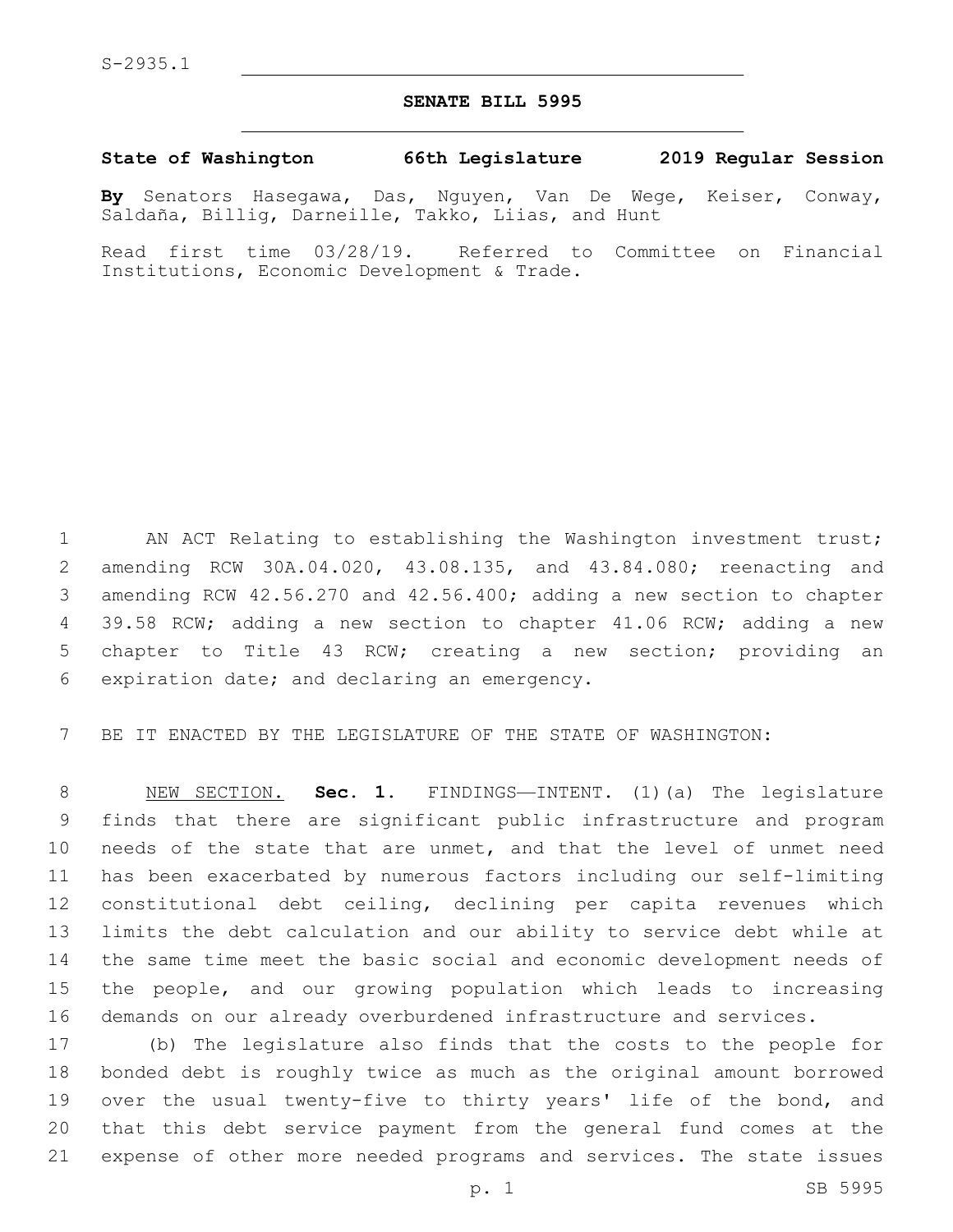## **SENATE BILL 5995**

## **State of Washington 66th Legislature 2019 Regular Session**

**By** Senators Hasegawa, Das, Nguyen, Van De Wege, Keiser, Conway, Saldaña, Billig, Darneille, Takko, Liias, and Hunt

Read first time 03/28/19. Referred to Committee on Financial Institutions, Economic Development & Trade.

1 AN ACT Relating to establishing the Washington investment trust; amending RCW 30A.04.020, 43.08.135, and 43.84.080; reenacting and amending RCW 42.56.270 and 42.56.400; adding a new section to chapter 39.58 RCW; adding a new section to chapter 41.06 RCW; adding a new chapter to Title 43 RCW; creating a new section; providing an 6 expiration date; and declaring an emergency.

BE IT ENACTED BY THE LEGISLATURE OF THE STATE OF WASHINGTON:

 NEW SECTION. **Sec. 1.** FINDINGS—INTENT. (1)(a) The legislature finds that there are significant public infrastructure and program needs of the state that are unmet, and that the level of unmet need has been exacerbated by numerous factors including our self-limiting constitutional debt ceiling, declining per capita revenues which limits the debt calculation and our ability to service debt while at the same time meet the basic social and economic development needs of the people, and our growing population which leads to increasing demands on our already overburdened infrastructure and services.

 (b) The legislature also finds that the costs to the people for bonded debt is roughly twice as much as the original amount borrowed 19 over the usual twenty-five to thirty years' life of the bond, and that this debt service payment from the general fund comes at the expense of other more needed programs and services. The state issues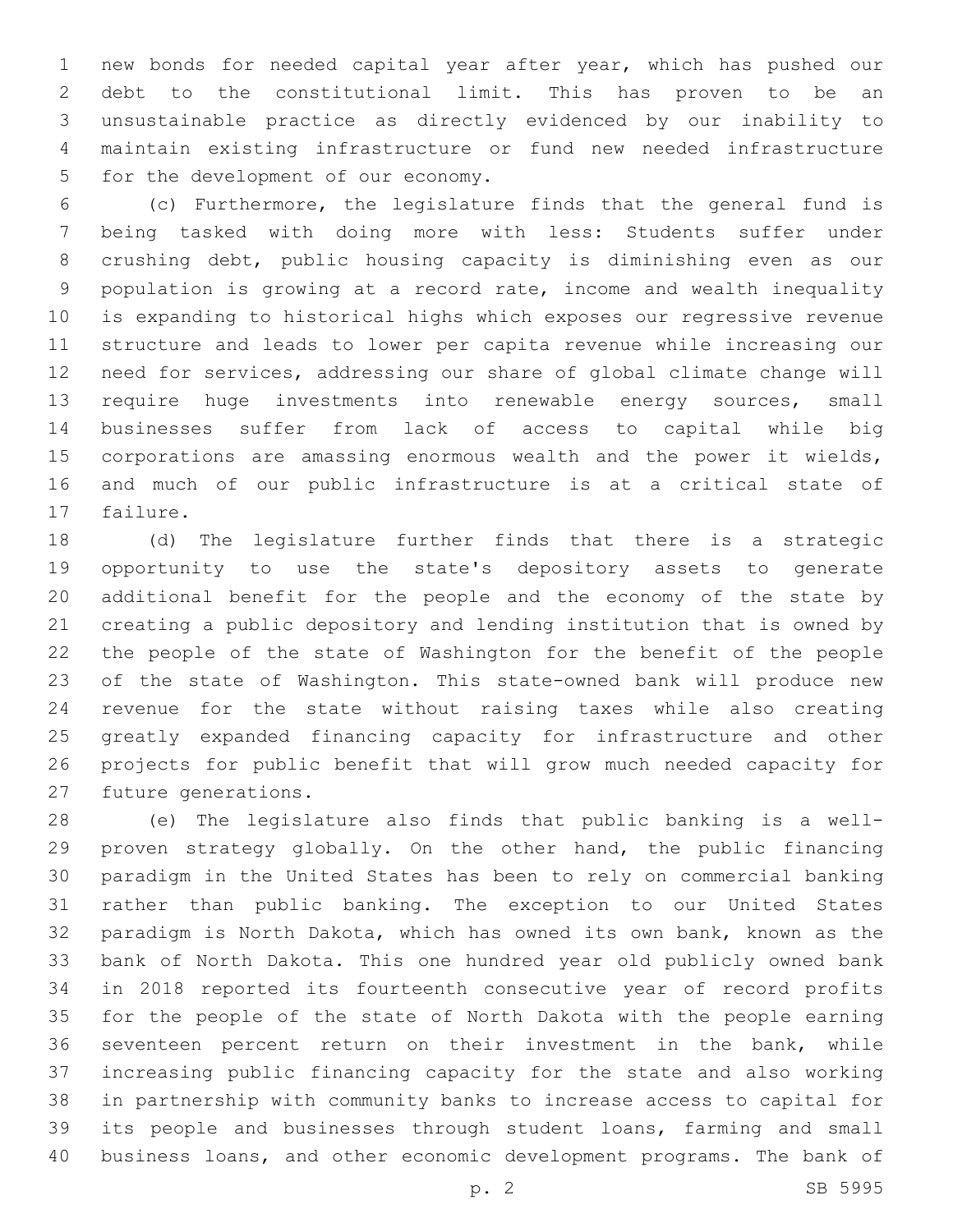new bonds for needed capital year after year, which has pushed our debt to the constitutional limit. This has proven to be an unsustainable practice as directly evidenced by our inability to maintain existing infrastructure or fund new needed infrastructure 5 for the development of our economy.

 (c) Furthermore, the legislature finds that the general fund is being tasked with doing more with less: Students suffer under crushing debt, public housing capacity is diminishing even as our population is growing at a record rate, income and wealth inequality is expanding to historical highs which exposes our regressive revenue structure and leads to lower per capita revenue while increasing our need for services, addressing our share of global climate change will require huge investments into renewable energy sources, small businesses suffer from lack of access to capital while big corporations are amassing enormous wealth and the power it wields, and much of our public infrastructure is at a critical state of 17 failure.

 (d) The legislature further finds that there is a strategic opportunity to use the state's depository assets to generate additional benefit for the people and the economy of the state by creating a public depository and lending institution that is owned by the people of the state of Washington for the benefit of the people of the state of Washington. This state-owned bank will produce new revenue for the state without raising taxes while also creating greatly expanded financing capacity for infrastructure and other projects for public benefit that will grow much needed capacity for 27 future generations.

 (e) The legislature also finds that public banking is a well- proven strategy globally. On the other hand, the public financing paradigm in the United States has been to rely on commercial banking rather than public banking. The exception to our United States paradigm is North Dakota, which has owned its own bank, known as the bank of North Dakota. This one hundred year old publicly owned bank in 2018 reported its fourteenth consecutive year of record profits for the people of the state of North Dakota with the people earning seventeen percent return on their investment in the bank, while increasing public financing capacity for the state and also working in partnership with community banks to increase access to capital for its people and businesses through student loans, farming and small business loans, and other economic development programs. The bank of

p. 2 SB 5995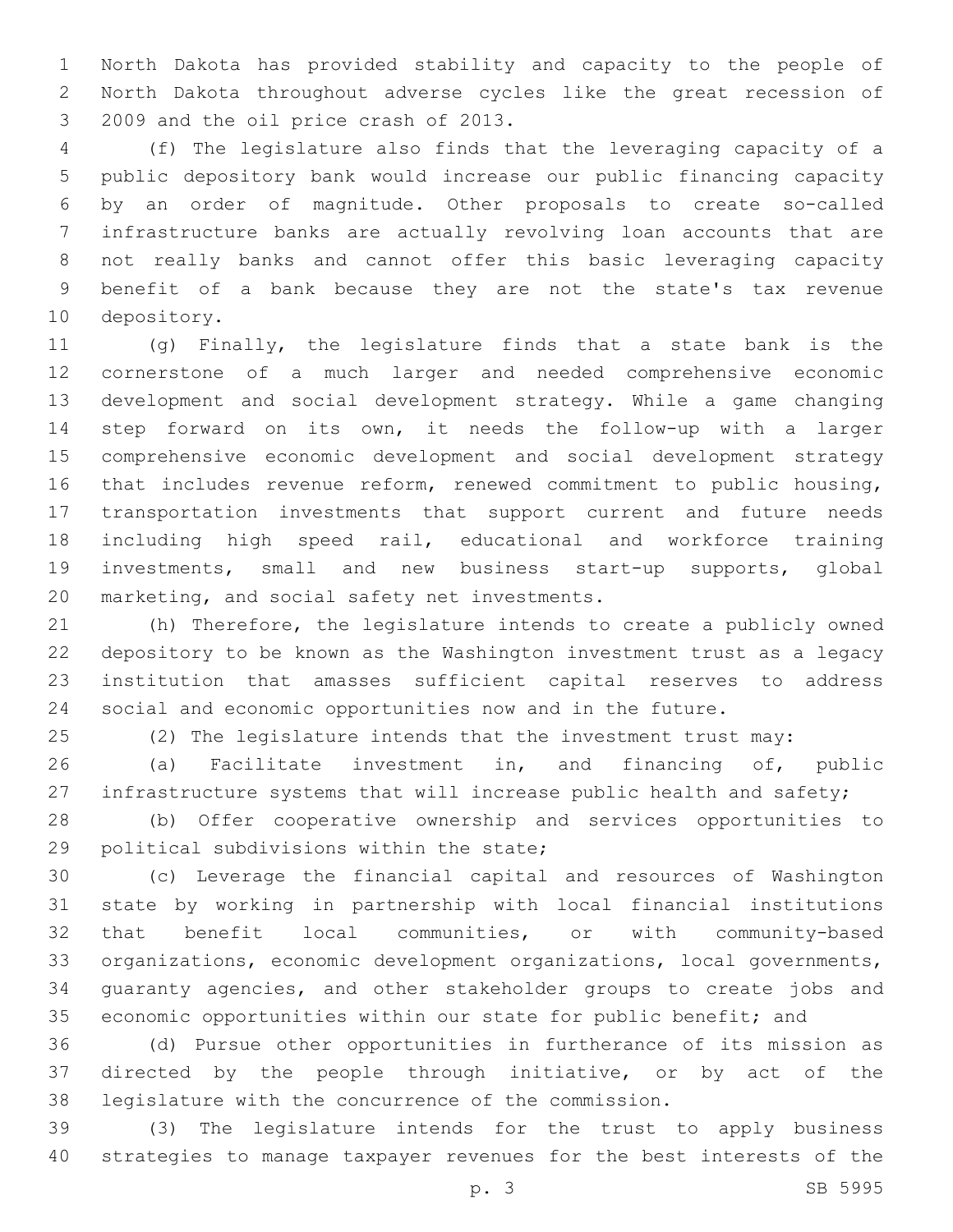North Dakota has provided stability and capacity to the people of North Dakota throughout adverse cycles like the great recession of 3 2009 and the oil price crash of 2013.

 (f) The legislature also finds that the leveraging capacity of a public depository bank would increase our public financing capacity by an order of magnitude. Other proposals to create so-called infrastructure banks are actually revolving loan accounts that are not really banks and cannot offer this basic leveraging capacity benefit of a bank because they are not the state's tax revenue 10 depository.

 (g) Finally, the legislature finds that a state bank is the cornerstone of a much larger and needed comprehensive economic development and social development strategy. While a game changing step forward on its own, it needs the follow-up with a larger comprehensive economic development and social development strategy that includes revenue reform, renewed commitment to public housing, transportation investments that support current and future needs including high speed rail, educational and workforce training investments, small and new business start-up supports, global 20 marketing, and social safety net investments.

 (h) Therefore, the legislature intends to create a publicly owned depository to be known as the Washington investment trust as a legacy institution that amasses sufficient capital reserves to address social and economic opportunities now and in the future.

(2) The legislature intends that the investment trust may:

 (a) Facilitate investment in, and financing of, public 27 infrastructure systems that will increase public health and safety;

 (b) Offer cooperative ownership and services opportunities to 29 political subdivisions within the state;

 (c) Leverage the financial capital and resources of Washington state by working in partnership with local financial institutions that benefit local communities, or with community-based organizations, economic development organizations, local governments, guaranty agencies, and other stakeholder groups to create jobs and 35 economic opportunities within our state for public benefit; and

 (d) Pursue other opportunities in furtherance of its mission as directed by the people through initiative, or by act of the legislature with the concurrence of the commission.

 (3) The legislature intends for the trust to apply business strategies to manage taxpayer revenues for the best interests of the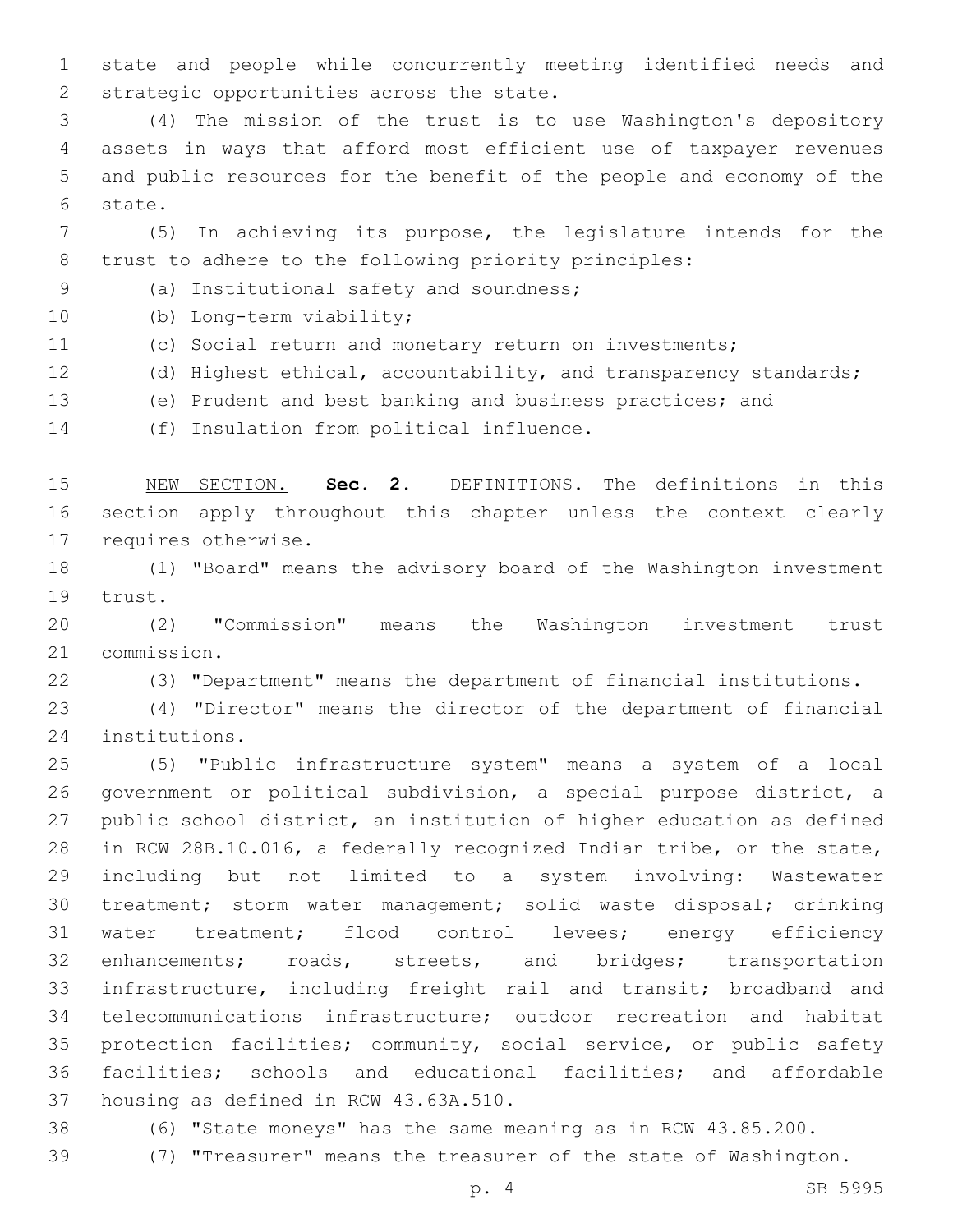state and people while concurrently meeting identified needs and 2 strategic opportunities across the state.

 (4) The mission of the trust is to use Washington's depository assets in ways that afford most efficient use of taxpayer revenues and public resources for the benefit of the people and economy of the 6 state.

 (5) In achieving its purpose, the legislature intends for the trust to adhere to the following priority principles:

(a) Institutional safety and soundness;9

10 (b) Long-term viability;

(c) Social return and monetary return on investments;

(d) Highest ethical, accountability, and transparency standards;

(e) Prudent and best banking and business practices; and

14 (f) Insulation from political influence.

 NEW SECTION. **Sec. 2.** DEFINITIONS. The definitions in this section apply throughout this chapter unless the context clearly requires otherwise.

 (1) "Board" means the advisory board of the Washington investment 19 trust.

 (2) "Commission" means the Washington investment trust 21 commission.

(3) "Department" means the department of financial institutions.

 (4) "Director" means the director of the department of financial 24 institutions.

 (5) "Public infrastructure system" means a system of a local government or political subdivision, a special purpose district, a public school district, an institution of higher education as defined in RCW 28B.10.016, a federally recognized Indian tribe, or the state, including but not limited to a system involving: Wastewater treatment; storm water management; solid waste disposal; drinking water treatment; flood control levees; energy efficiency enhancements; roads, streets, and bridges; transportation infrastructure, including freight rail and transit; broadband and telecommunications infrastructure; outdoor recreation and habitat protection facilities; community, social service, or public safety facilities; schools and educational facilities; and affordable 37 housing as defined in RCW 43.63A.510.

(6) "State moneys" has the same meaning as in RCW 43.85.200.

(7) "Treasurer" means the treasurer of the state of Washington.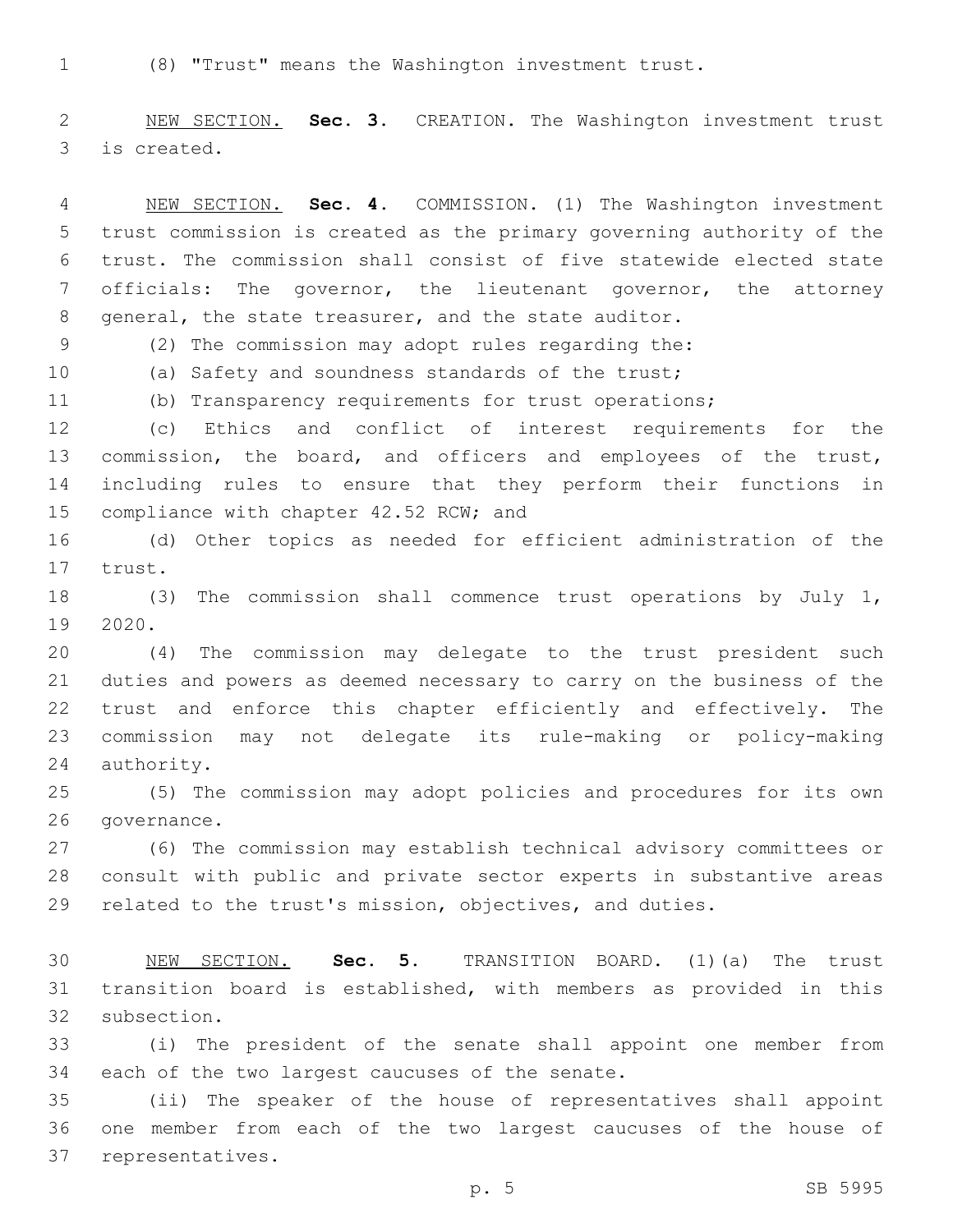(8) "Trust" means the Washington investment trust.

 NEW SECTION. **Sec. 3.** CREATION. The Washington investment trust is created.

 NEW SECTION. **Sec. 4.** COMMISSION. (1) The Washington investment trust commission is created as the primary governing authority of the trust. The commission shall consist of five statewide elected state officials: The governor, the lieutenant governor, the attorney general, the state treasurer, and the state auditor.

(2) The commission may adopt rules regarding the:

(a) Safety and soundness standards of the trust;

(b) Transparency requirements for trust operations;

 (c) Ethics and conflict of interest requirements for the 13 commission, the board, and officers and employees of the trust, including rules to ensure that they perform their functions in 15 compliance with chapter 42.52 RCW; and

 (d) Other topics as needed for efficient administration of the 17 trust.

 (3) The commission shall commence trust operations by July 1, 19 2020.

 (4) The commission may delegate to the trust president such duties and powers as deemed necessary to carry on the business of the trust and enforce this chapter efficiently and effectively. The commission may not delegate its rule-making or policy-making 24 authority.

 (5) The commission may adopt policies and procedures for its own 26 qovernance.

 (6) The commission may establish technical advisory committees or consult with public and private sector experts in substantive areas related to the trust's mission, objectives, and duties.

 NEW SECTION. **Sec. 5.** TRANSITION BOARD. (1)(a) The trust transition board is established, with members as provided in this subsection.

 (i) The president of the senate shall appoint one member from 34 each of the two largest caucuses of the senate.

 (ii) The speaker of the house of representatives shall appoint one member from each of the two largest caucuses of the house of 37 representatives.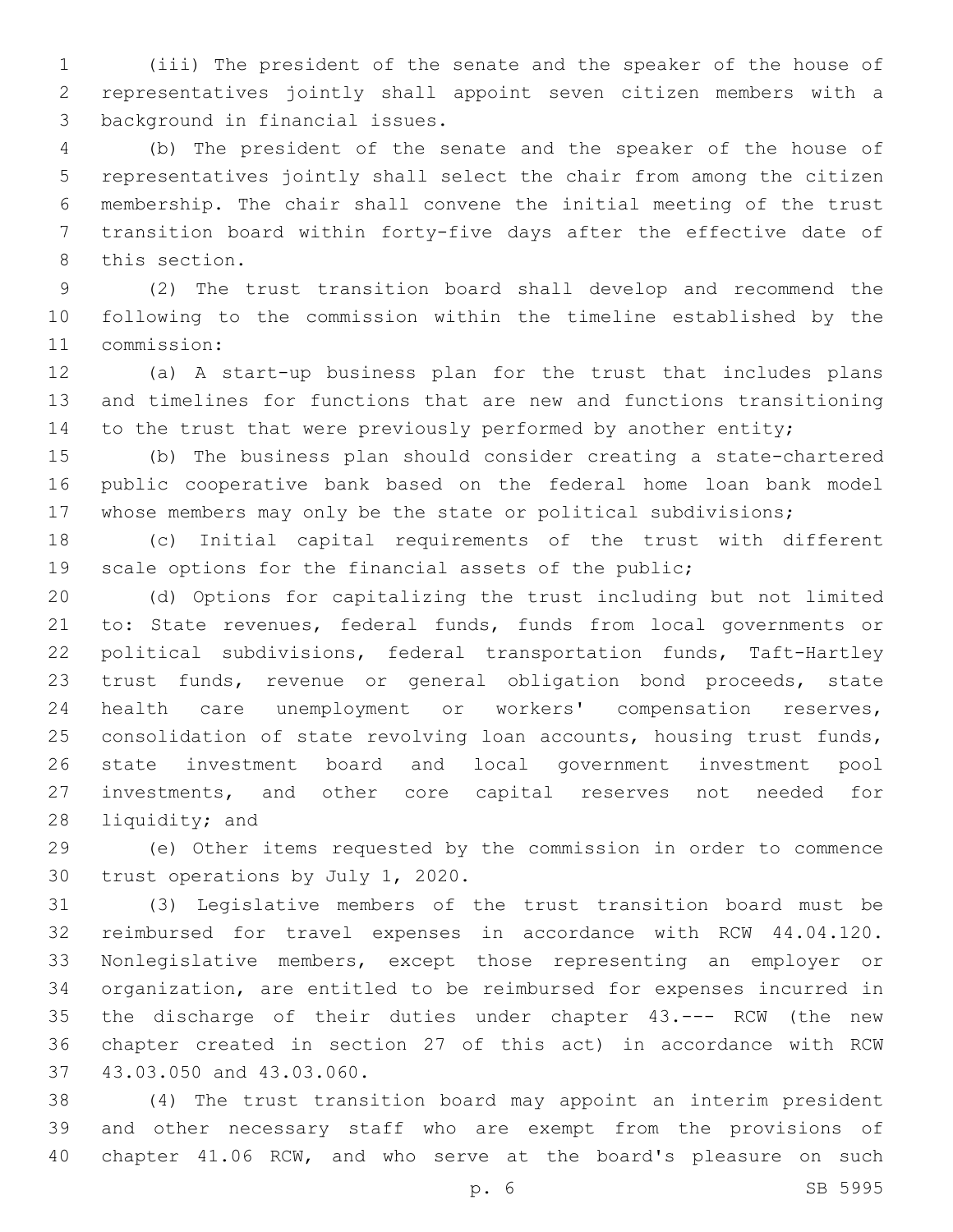(iii) The president of the senate and the speaker of the house of representatives jointly shall appoint seven citizen members with a 3 background in financial issues.

 (b) The president of the senate and the speaker of the house of representatives jointly shall select the chair from among the citizen membership. The chair shall convene the initial meeting of the trust transition board within forty-five days after the effective date of 8 this section.

 (2) The trust transition board shall develop and recommend the following to the commission within the timeline established by the 11 commission:

 (a) A start-up business plan for the trust that includes plans and timelines for functions that are new and functions transitioning 14 to the trust that were previously performed by another entity;

 (b) The business plan should consider creating a state-chartered public cooperative bank based on the federal home loan bank model whose members may only be the state or political subdivisions;

 (c) Initial capital requirements of the trust with different scale options for the financial assets of the public;

 (d) Options for capitalizing the trust including but not limited to: State revenues, federal funds, funds from local governments or political subdivisions, federal transportation funds, Taft-Hartley trust funds, revenue or general obligation bond proceeds, state health care unemployment or workers' compensation reserves, consolidation of state revolving loan accounts, housing trust funds, state investment board and local government investment pool investments, and other core capital reserves not needed for 28 liquidity; and

 (e) Other items requested by the commission in order to commence 30 trust operations by July 1, 2020.

 (3) Legislative members of the trust transition board must be reimbursed for travel expenses in accordance with RCW 44.04.120. Nonlegislative members, except those representing an employer or organization, are entitled to be reimbursed for expenses incurred in the discharge of their duties under chapter 43.--- RCW (the new chapter created in section 27 of this act) in accordance with RCW 37 43.03.050 and 43.03.060.

 (4) The trust transition board may appoint an interim president and other necessary staff who are exempt from the provisions of chapter 41.06 RCW, and who serve at the board's pleasure on such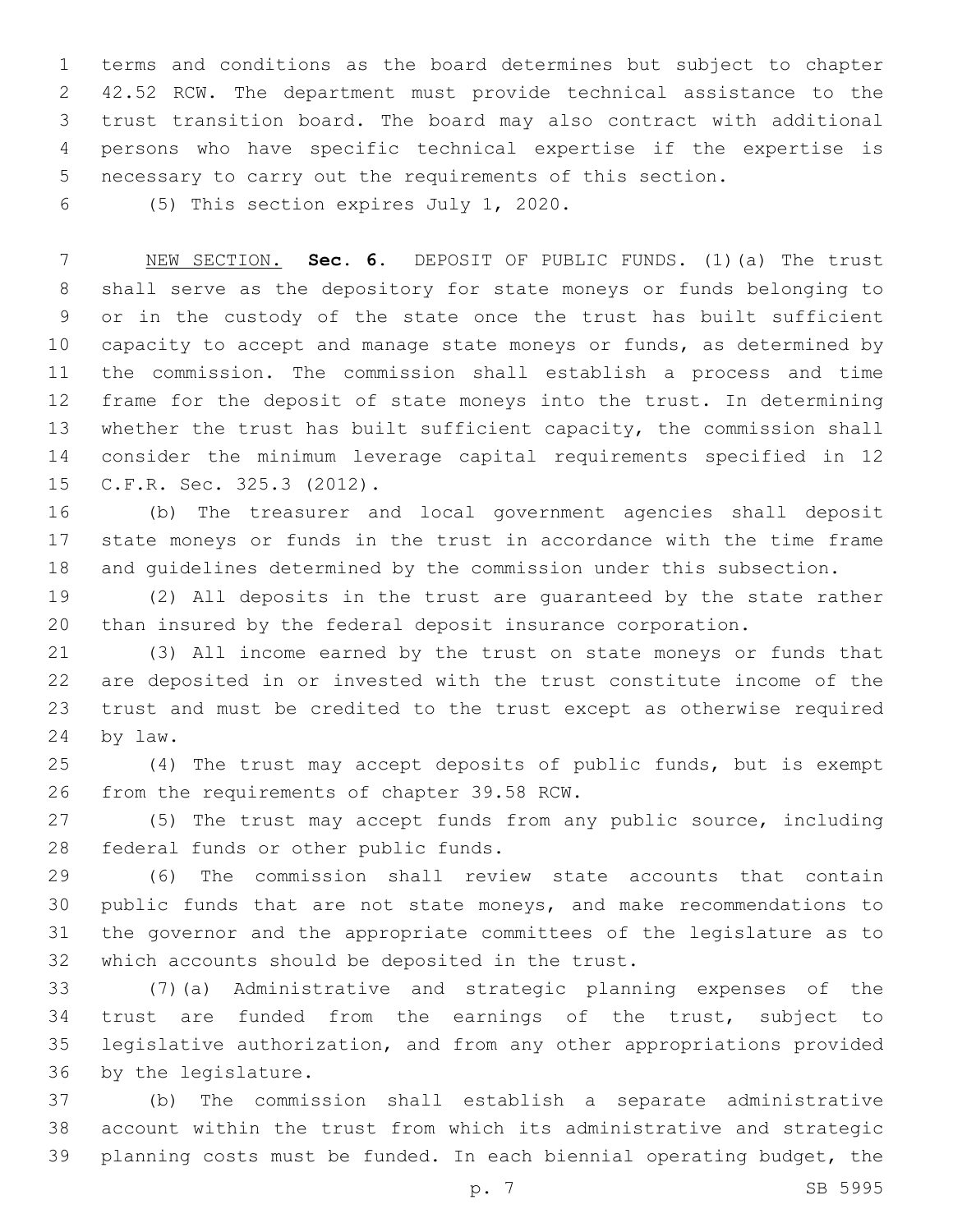terms and conditions as the board determines but subject to chapter 42.52 RCW. The department must provide technical assistance to the trust transition board. The board may also contract with additional persons who have specific technical expertise if the expertise is necessary to carry out the requirements of this section.

(5) This section expires July 1, 2020.6

 NEW SECTION. **Sec. 6.** DEPOSIT OF PUBLIC FUNDS. (1)(a) The trust shall serve as the depository for state moneys or funds belonging to or in the custody of the state once the trust has built sufficient capacity to accept and manage state moneys or funds, as determined by the commission. The commission shall establish a process and time frame for the deposit of state moneys into the trust. In determining whether the trust has built sufficient capacity, the commission shall consider the minimum leverage capital requirements specified in 12 C.F.R. Sec. 325.3 (2012).

 (b) The treasurer and local government agencies shall deposit state moneys or funds in the trust in accordance with the time frame and guidelines determined by the commission under this subsection.

 (2) All deposits in the trust are guaranteed by the state rather than insured by the federal deposit insurance corporation.

 (3) All income earned by the trust on state moneys or funds that are deposited in or invested with the trust constitute income of the trust and must be credited to the trust except as otherwise required 24 by law.

 (4) The trust may accept deposits of public funds, but is exempt 26 from the requirements of chapter 39.58 RCW.

 (5) The trust may accept funds from any public source, including 28 federal funds or other public funds.

 (6) The commission shall review state accounts that contain public funds that are not state moneys, and make recommendations to the governor and the appropriate committees of the legislature as to 32 which accounts should be deposited in the trust.

 (7)(a) Administrative and strategic planning expenses of the trust are funded from the earnings of the trust, subject to legislative authorization, and from any other appropriations provided 36 by the legislature.

 (b) The commission shall establish a separate administrative account within the trust from which its administrative and strategic planning costs must be funded. In each biennial operating budget, the

p. 7 SB 5995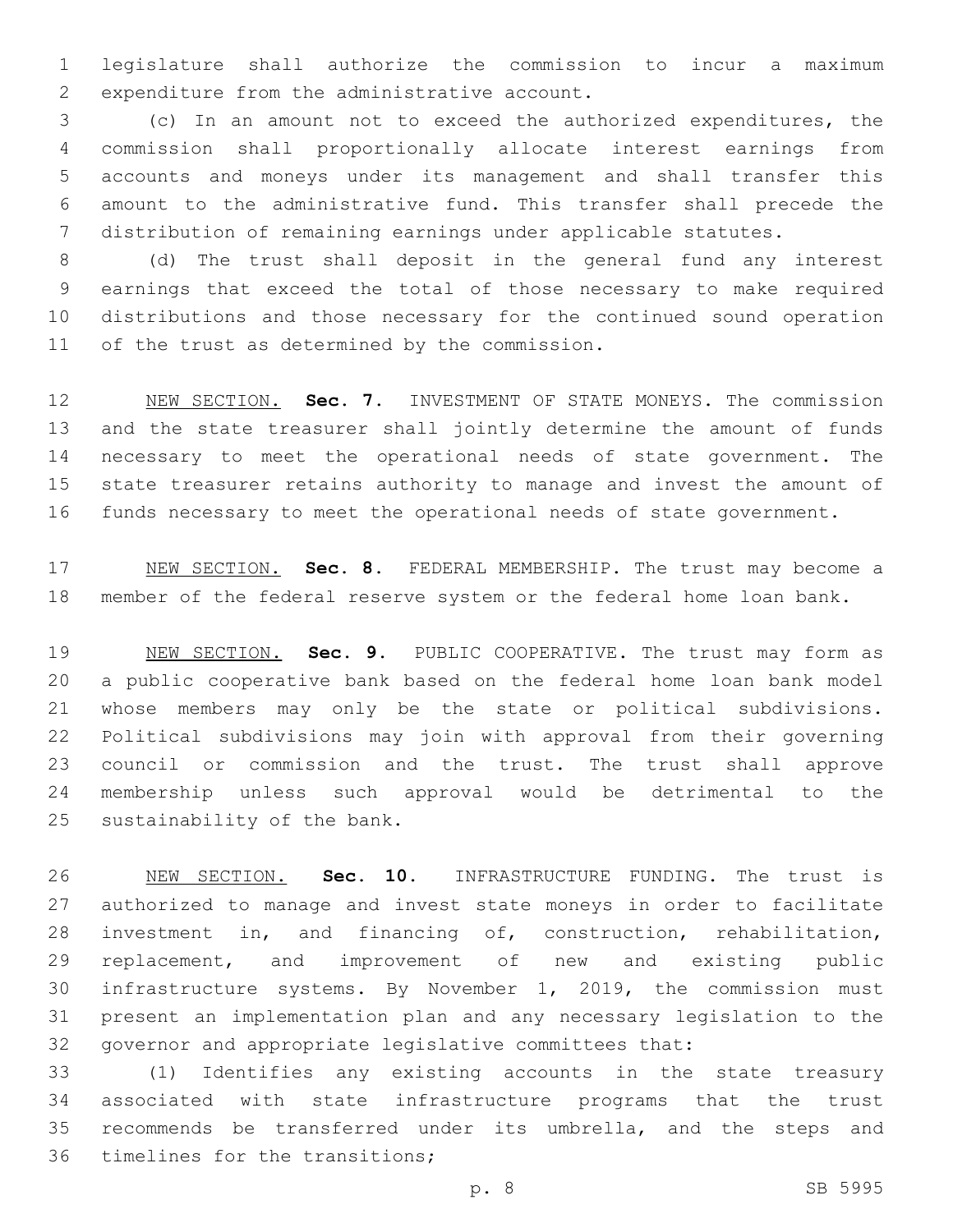legislature shall authorize the commission to incur a maximum 2 expenditure from the administrative account.

 (c) In an amount not to exceed the authorized expenditures, the commission shall proportionally allocate interest earnings from accounts and moneys under its management and shall transfer this amount to the administrative fund. This transfer shall precede the distribution of remaining earnings under applicable statutes.

 (d) The trust shall deposit in the general fund any interest earnings that exceed the total of those necessary to make required distributions and those necessary for the continued sound operation 11 of the trust as determined by the commission.

 NEW SECTION. **Sec. 7.** INVESTMENT OF STATE MONEYS. The commission and the state treasurer shall jointly determine the amount of funds necessary to meet the operational needs of state government. The state treasurer retains authority to manage and invest the amount of funds necessary to meet the operational needs of state government.

 NEW SECTION. **Sec. 8.** FEDERAL MEMBERSHIP. The trust may become a member of the federal reserve system or the federal home loan bank.

 NEW SECTION. **Sec. 9.** PUBLIC COOPERATIVE. The trust may form as a public cooperative bank based on the federal home loan bank model whose members may only be the state or political subdivisions. Political subdivisions may join with approval from their governing council or commission and the trust. The trust shall approve membership unless such approval would be detrimental to the sustainability of the bank.

 NEW SECTION. **Sec. 10.** INFRASTRUCTURE FUNDING. The trust is authorized to manage and invest state moneys in order to facilitate investment in, and financing of, construction, rehabilitation, replacement, and improvement of new and existing public infrastructure systems. By November 1, 2019, the commission must present an implementation plan and any necessary legislation to the governor and appropriate legislative committees that:

 (1) Identifies any existing accounts in the state treasury associated with state infrastructure programs that the trust recommends be transferred under its umbrella, and the steps and 36 timelines for the transitions;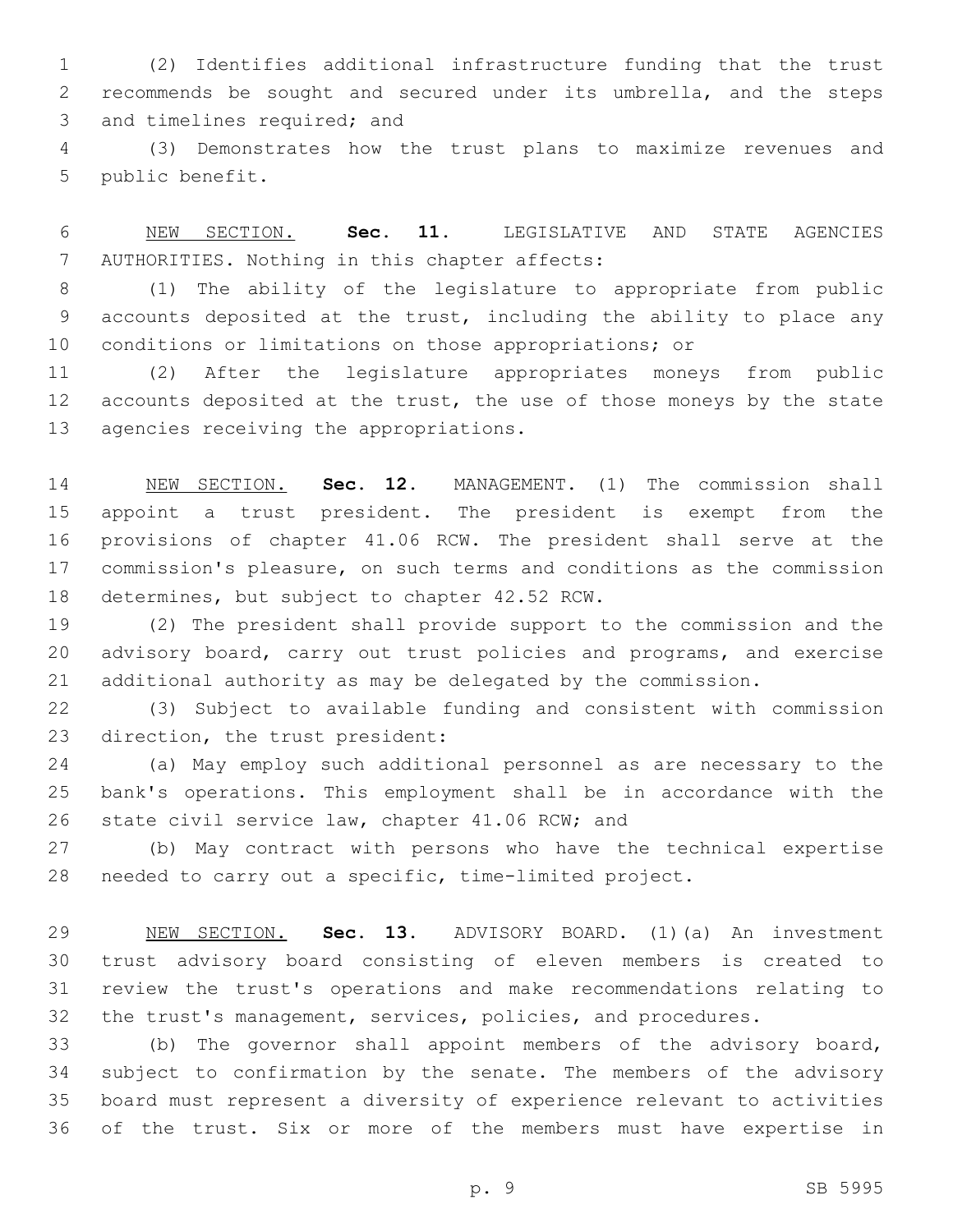(2) Identifies additional infrastructure funding that the trust recommends be sought and secured under its umbrella, and the steps 3 and timelines required; and

 (3) Demonstrates how the trust plans to maximize revenues and 5 public benefit.

 NEW SECTION. **Sec. 11.** LEGISLATIVE AND STATE AGENCIES AUTHORITIES. Nothing in this chapter affects:

 (1) The ability of the legislature to appropriate from public accounts deposited at the trust, including the ability to place any conditions or limitations on those appropriations; or

 (2) After the legislature appropriates moneys from public 12 accounts deposited at the trust, the use of those moneys by the state 13 agencies receiving the appropriations.

 NEW SECTION. **Sec. 12.** MANAGEMENT. (1) The commission shall appoint a trust president. The president is exempt from the provisions of chapter 41.06 RCW. The president shall serve at the commission's pleasure, on such terms and conditions as the commission determines, but subject to chapter 42.52 RCW.

 (2) The president shall provide support to the commission and the advisory board, carry out trust policies and programs, and exercise additional authority as may be delegated by the commission.

 (3) Subject to available funding and consistent with commission 23 direction, the trust president:

 (a) May employ such additional personnel as are necessary to the bank's operations. This employment shall be in accordance with the 26 state civil service law, chapter 41.06 RCW; and

 (b) May contract with persons who have the technical expertise needed to carry out a specific, time-limited project.

 NEW SECTION. **Sec. 13.** ADVISORY BOARD. (1)(a) An investment trust advisory board consisting of eleven members is created to review the trust's operations and make recommendations relating to the trust's management, services, policies, and procedures.

 (b) The governor shall appoint members of the advisory board, subject to confirmation by the senate. The members of the advisory board must represent a diversity of experience relevant to activities of the trust. Six or more of the members must have expertise in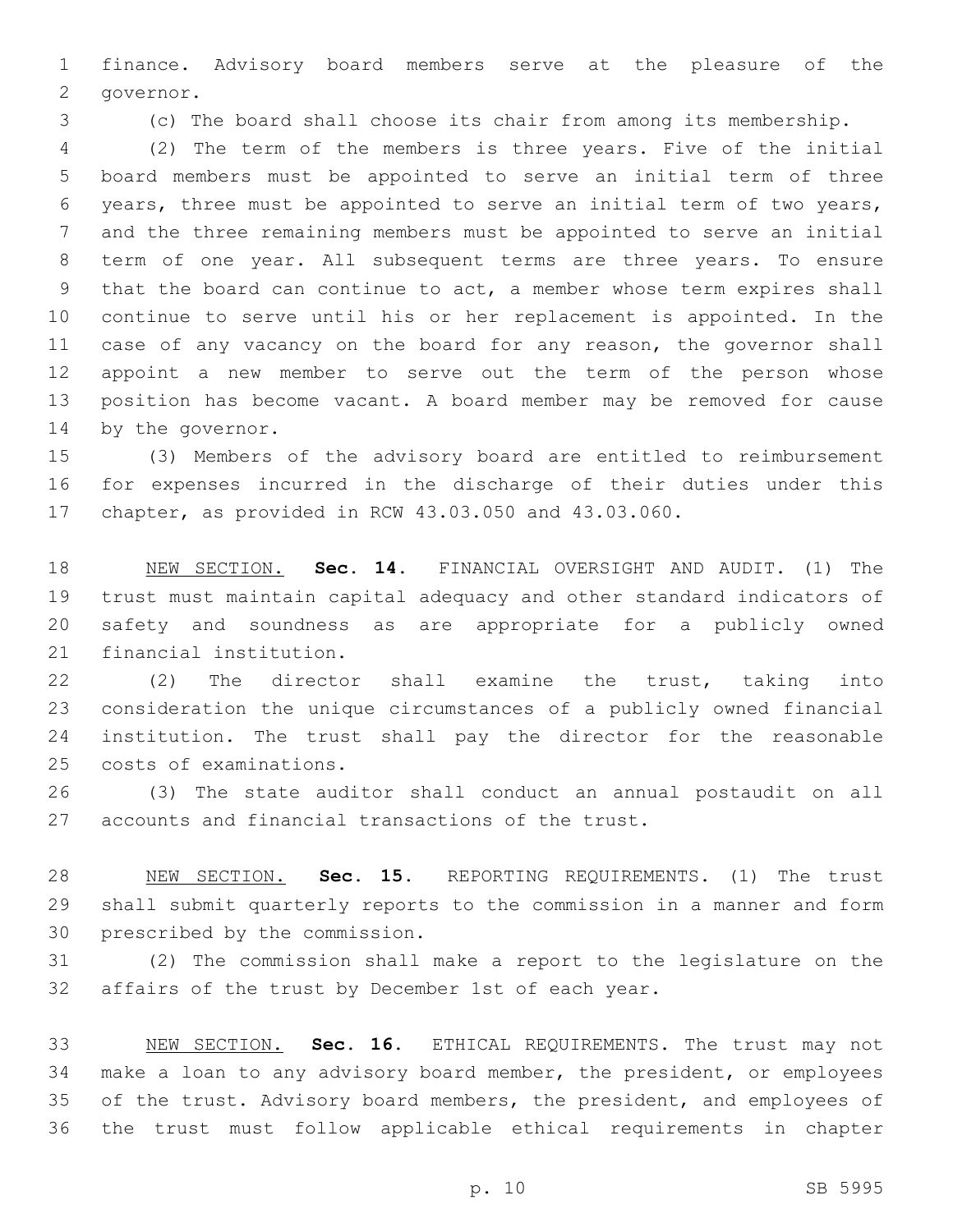finance. Advisory board members serve at the pleasure of the 2 governor.

(c) The board shall choose its chair from among its membership.

 (2) The term of the members is three years. Five of the initial board members must be appointed to serve an initial term of three years, three must be appointed to serve an initial term of two years, and the three remaining members must be appointed to serve an initial term of one year. All subsequent terms are three years. To ensure that the board can continue to act, a member whose term expires shall continue to serve until his or her replacement is appointed. In the 11 case of any vacancy on the board for any reason, the governor shall appoint a new member to serve out the term of the person whose position has become vacant. A board member may be removed for cause 14 by the governor.

 (3) Members of the advisory board are entitled to reimbursement for expenses incurred in the discharge of their duties under this chapter, as provided in RCW 43.03.050 and 43.03.060.

 NEW SECTION. **Sec. 14.** FINANCIAL OVERSIGHT AND AUDIT. (1) The trust must maintain capital adequacy and other standard indicators of safety and soundness as are appropriate for a publicly owned financial institution.

 (2) The director shall examine the trust, taking into consideration the unique circumstances of a publicly owned financial institution. The trust shall pay the director for the reasonable 25 costs of examinations.

 (3) The state auditor shall conduct an annual postaudit on all 27 accounts and financial transactions of the trust.

 NEW SECTION. **Sec. 15.** REPORTING REQUIREMENTS. (1) The trust shall submit quarterly reports to the commission in a manner and form prescribed by the commission.

 (2) The commission shall make a report to the legislature on the affairs of the trust by December 1st of each year.

 NEW SECTION. **Sec. 16.** ETHICAL REQUIREMENTS. The trust may not make a loan to any advisory board member, the president, or employees 35 of the trust. Advisory board members, the president, and employees of the trust must follow applicable ethical requirements in chapter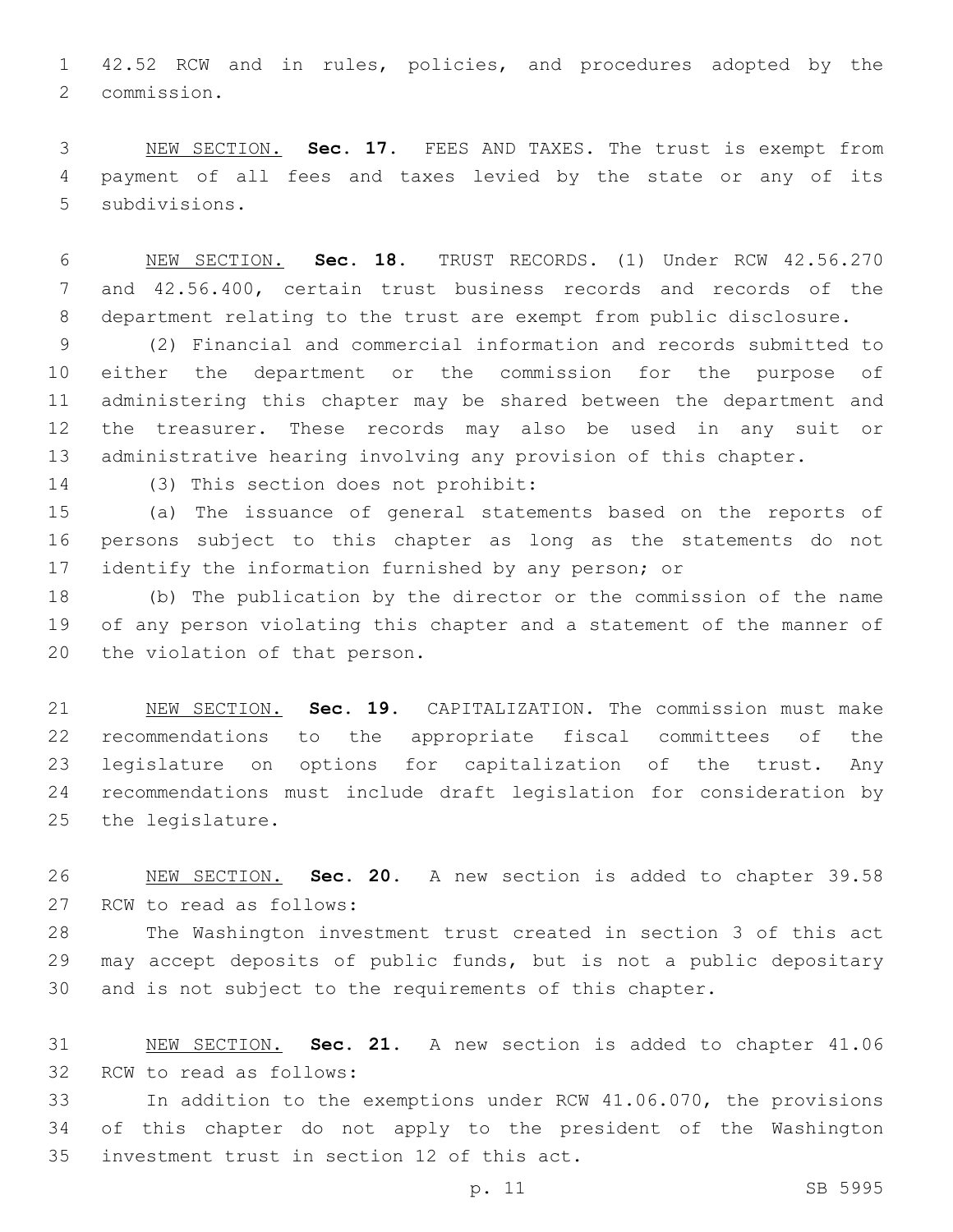42.52 RCW and in rules, policies, and procedures adopted by the 2 commission.

 NEW SECTION. **Sec. 17.** FEES AND TAXES. The trust is exempt from payment of all fees and taxes levied by the state or any of its subdivisions.

 NEW SECTION. **Sec. 18.** TRUST RECORDS. (1) Under RCW 42.56.270 and 42.56.400, certain trust business records and records of the department relating to the trust are exempt from public disclosure.

 (2) Financial and commercial information and records submitted to either the department or the commission for the purpose of administering this chapter may be shared between the department and the treasurer. These records may also be used in any suit or administrative hearing involving any provision of this chapter.

14 (3) This section does not prohibit:

 (a) The issuance of general statements based on the reports of persons subject to this chapter as long as the statements do not 17 identify the information furnished by any person; or

 (b) The publication by the director or the commission of the name of any person violating this chapter and a statement of the manner of 20 the violation of that person.

 NEW SECTION. **Sec. 19.** CAPITALIZATION. The commission must make recommendations to the appropriate fiscal committees of the legislature on options for capitalization of the trust. Any recommendations must include draft legislation for consideration by the legislature.

 NEW SECTION. **Sec. 20.** A new section is added to chapter 39.58 27 RCW to read as follows:

 The Washington investment trust created in section 3 of this act may accept deposits of public funds, but is not a public depositary and is not subject to the requirements of this chapter.

 NEW SECTION. **Sec. 21.** A new section is added to chapter 41.06 32 RCW to read as follows:

 In addition to the exemptions under RCW 41.06.070, the provisions of this chapter do not apply to the president of the Washington 35 investment trust in section 12 of this act.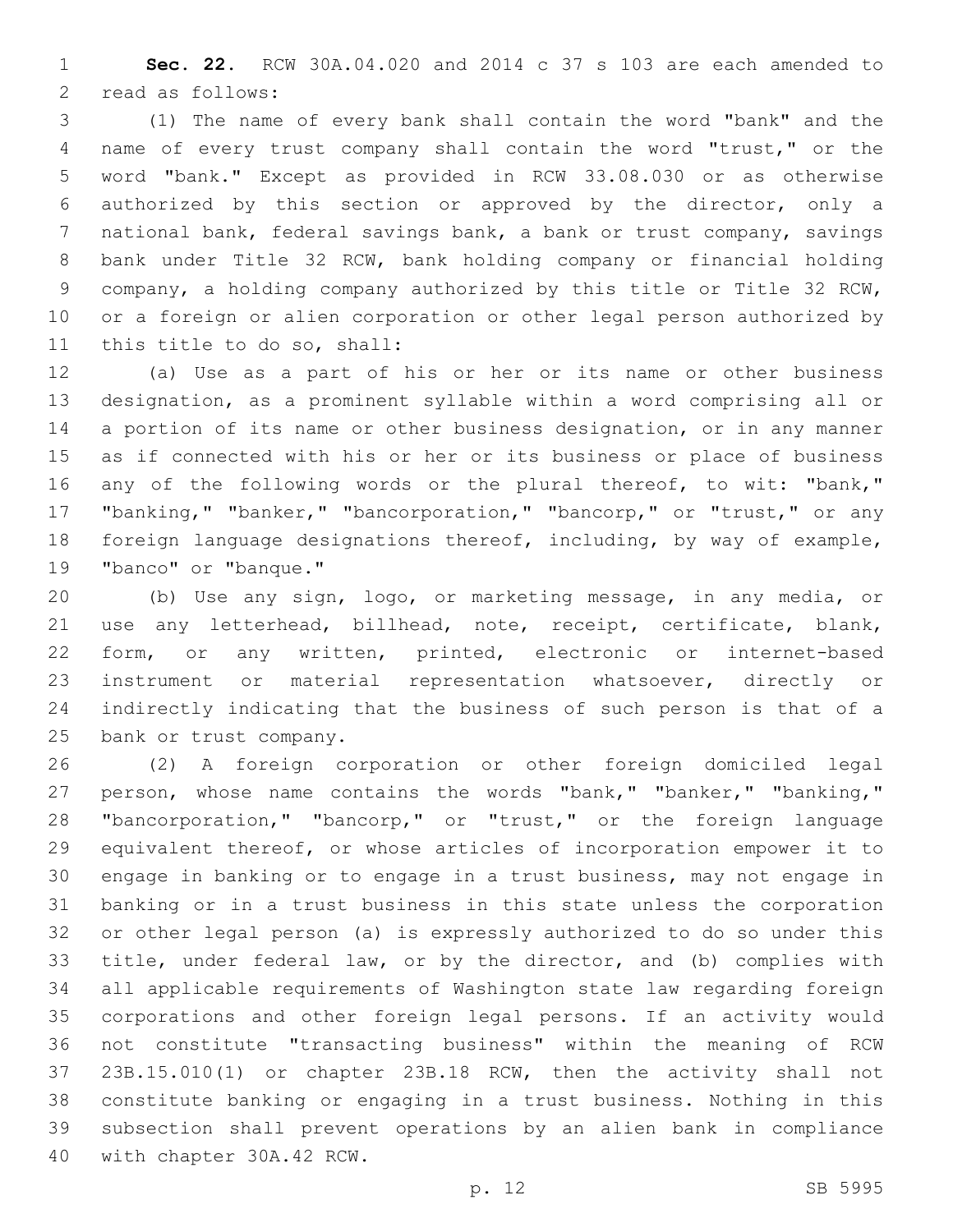**Sec. 22.** RCW 30A.04.020 and 2014 c 37 s 103 are each amended to 2 read as follows:

 (1) The name of every bank shall contain the word "bank" and the name of every trust company shall contain the word "trust," or the word "bank." Except as provided in RCW 33.08.030 or as otherwise authorized by this section or approved by the director, only a national bank, federal savings bank, a bank or trust company, savings bank under Title 32 RCW, bank holding company or financial holding company, a holding company authorized by this title or Title 32 RCW, or a foreign or alien corporation or other legal person authorized by 11 this title to do so, shall:

 (a) Use as a part of his or her or its name or other business designation, as a prominent syllable within a word comprising all or a portion of its name or other business designation, or in any manner as if connected with his or her or its business or place of business 16 any of the following words or the plural thereof, to wit: "bank," "banking," "banker," "bancorporation," "bancorp," or "trust," or any foreign language designations thereof, including, by way of example, 19 "banco" or "banque."

 (b) Use any sign, logo, or marketing message, in any media, or use any letterhead, billhead, note, receipt, certificate, blank, form, or any written, printed, electronic or internet-based instrument or material representation whatsoever, directly or indirectly indicating that the business of such person is that of a 25 bank or trust company.

 (2) A foreign corporation or other foreign domiciled legal person, whose name contains the words "bank," "banker," "banking," "bancorporation," "bancorp," or "trust," or the foreign language equivalent thereof, or whose articles of incorporation empower it to engage in banking or to engage in a trust business, may not engage in banking or in a trust business in this state unless the corporation or other legal person (a) is expressly authorized to do so under this title, under federal law, or by the director, and (b) complies with all applicable requirements of Washington state law regarding foreign corporations and other foreign legal persons. If an activity would not constitute "transacting business" within the meaning of RCW 23B.15.010(1) or chapter 23B.18 RCW, then the activity shall not constitute banking or engaging in a trust business. Nothing in this subsection shall prevent operations by an alien bank in compliance 40 with chapter 30A.42 RCW.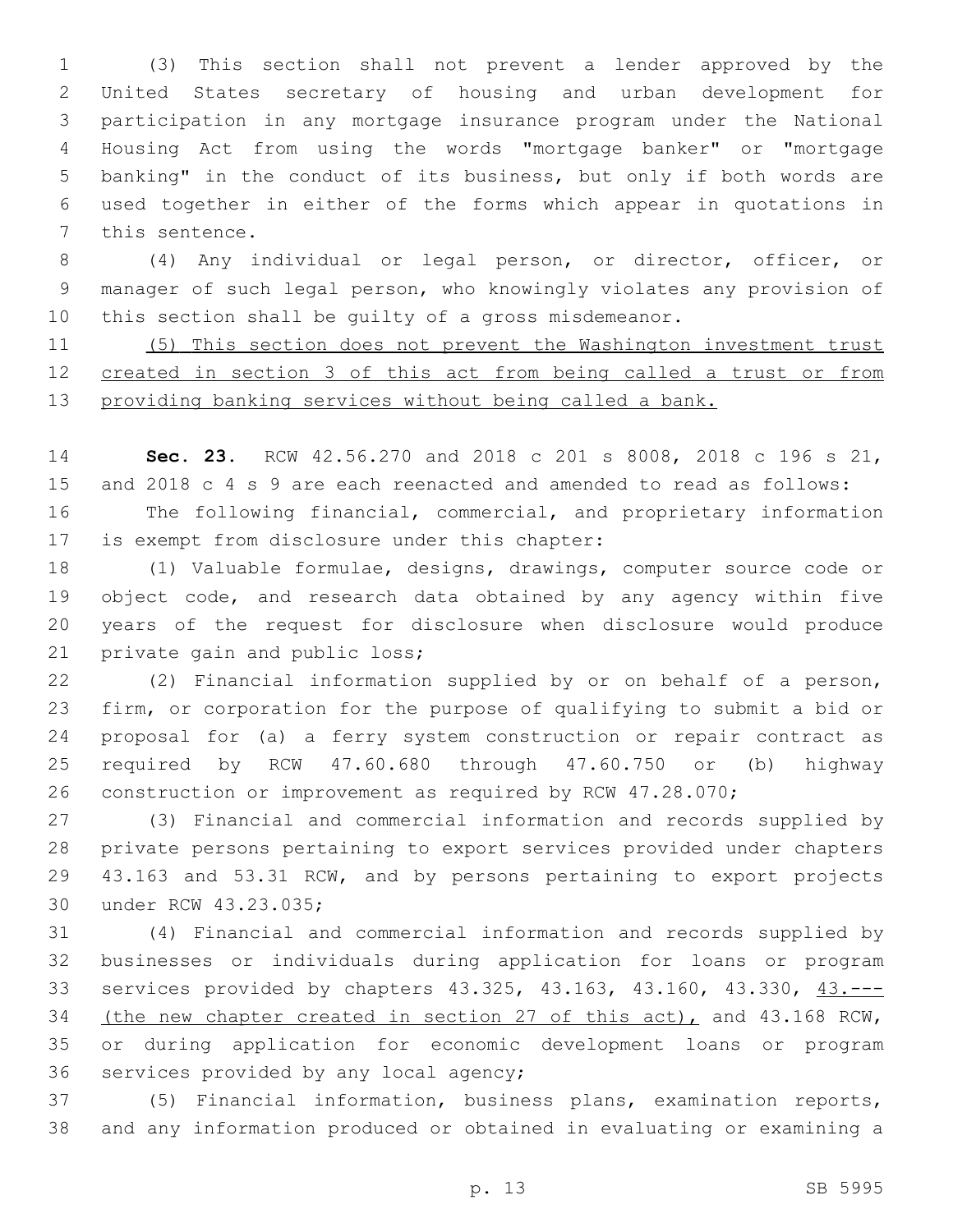(3) This section shall not prevent a lender approved by the United States secretary of housing and urban development for participation in any mortgage insurance program under the National Housing Act from using the words "mortgage banker" or "mortgage banking" in the conduct of its business, but only if both words are used together in either of the forms which appear in quotations in 7 this sentence.

 (4) Any individual or legal person, or director, officer, or manager of such legal person, who knowingly violates any provision of this section shall be guilty of a gross misdemeanor.

 (5) This section does not prevent the Washington investment trust created in section 3 of this act from being called a trust or from providing banking services without being called a bank.

 **Sec. 23.** RCW 42.56.270 and 2018 c 201 s 8008, 2018 c 196 s 21, and 2018 c 4 s 9 are each reenacted and amended to read as follows: The following financial, commercial, and proprietary information 17 is exempt from disclosure under this chapter:

 (1) Valuable formulae, designs, drawings, computer source code or object code, and research data obtained by any agency within five years of the request for disclosure when disclosure would produce 21 private gain and public loss;

 (2) Financial information supplied by or on behalf of a person, firm, or corporation for the purpose of qualifying to submit a bid or proposal for (a) a ferry system construction or repair contract as required by RCW 47.60.680 through 47.60.750 or (b) highway construction or improvement as required by RCW 47.28.070;

 (3) Financial and commercial information and records supplied by private persons pertaining to export services provided under chapters 43.163 and 53.31 RCW, and by persons pertaining to export projects 30 under RCW 43.23.035;

 (4) Financial and commercial information and records supplied by businesses or individuals during application for loans or program services provided by chapters 43.325, 43.163, 43.160, 43.330, 43.--- (the new chapter created in section 27 of this act), and 43.168 RCW, or during application for economic development loans or program 36 services provided by any local agency;

 (5) Financial information, business plans, examination reports, and any information produced or obtained in evaluating or examining a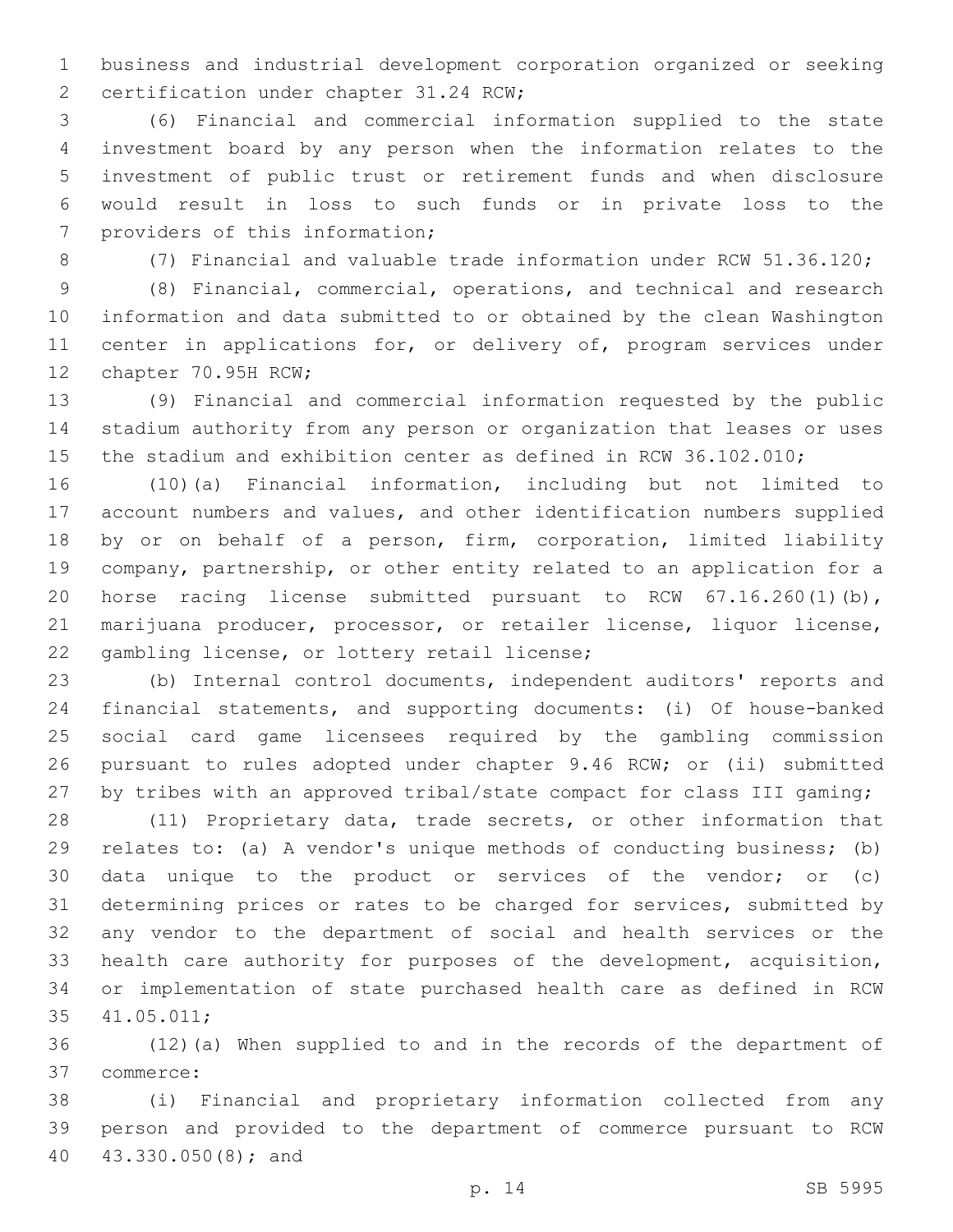business and industrial development corporation organized or seeking 2 certification under chapter 31.24 RCW;

 (6) Financial and commercial information supplied to the state investment board by any person when the information relates to the investment of public trust or retirement funds and when disclosure would result in loss to such funds or in private loss to the 7 providers of this information;

(7) Financial and valuable trade information under RCW 51.36.120;

 (8) Financial, commercial, operations, and technical and research information and data submitted to or obtained by the clean Washington 11 center in applications for, or delivery of, program services under 12 chapter 70.95H RCW;

 (9) Financial and commercial information requested by the public stadium authority from any person or organization that leases or uses the stadium and exhibition center as defined in RCW 36.102.010;

 (10)(a) Financial information, including but not limited to account numbers and values, and other identification numbers supplied by or on behalf of a person, firm, corporation, limited liability company, partnership, or other entity related to an application for a horse racing license submitted pursuant to RCW 67.16.260(1)(b), marijuana producer, processor, or retailer license, liquor license, 22 gambling license, or lottery retail license;

 (b) Internal control documents, independent auditors' reports and financial statements, and supporting documents: (i) Of house-banked social card game licensees required by the gambling commission pursuant to rules adopted under chapter 9.46 RCW; or (ii) submitted 27 by tribes with an approved tribal/state compact for class III gaming;

 (11) Proprietary data, trade secrets, or other information that relates to: (a) A vendor's unique methods of conducting business; (b) data unique to the product or services of the vendor; or (c) determining prices or rates to be charged for services, submitted by any vendor to the department of social and health services or the health care authority for purposes of the development, acquisition, or implementation of state purchased health care as defined in RCW 41.05.011;35

 (12)(a) When supplied to and in the records of the department of commerce:37

 (i) Financial and proprietary information collected from any person and provided to the department of commerce pursuant to RCW 40 43.330.050(8); and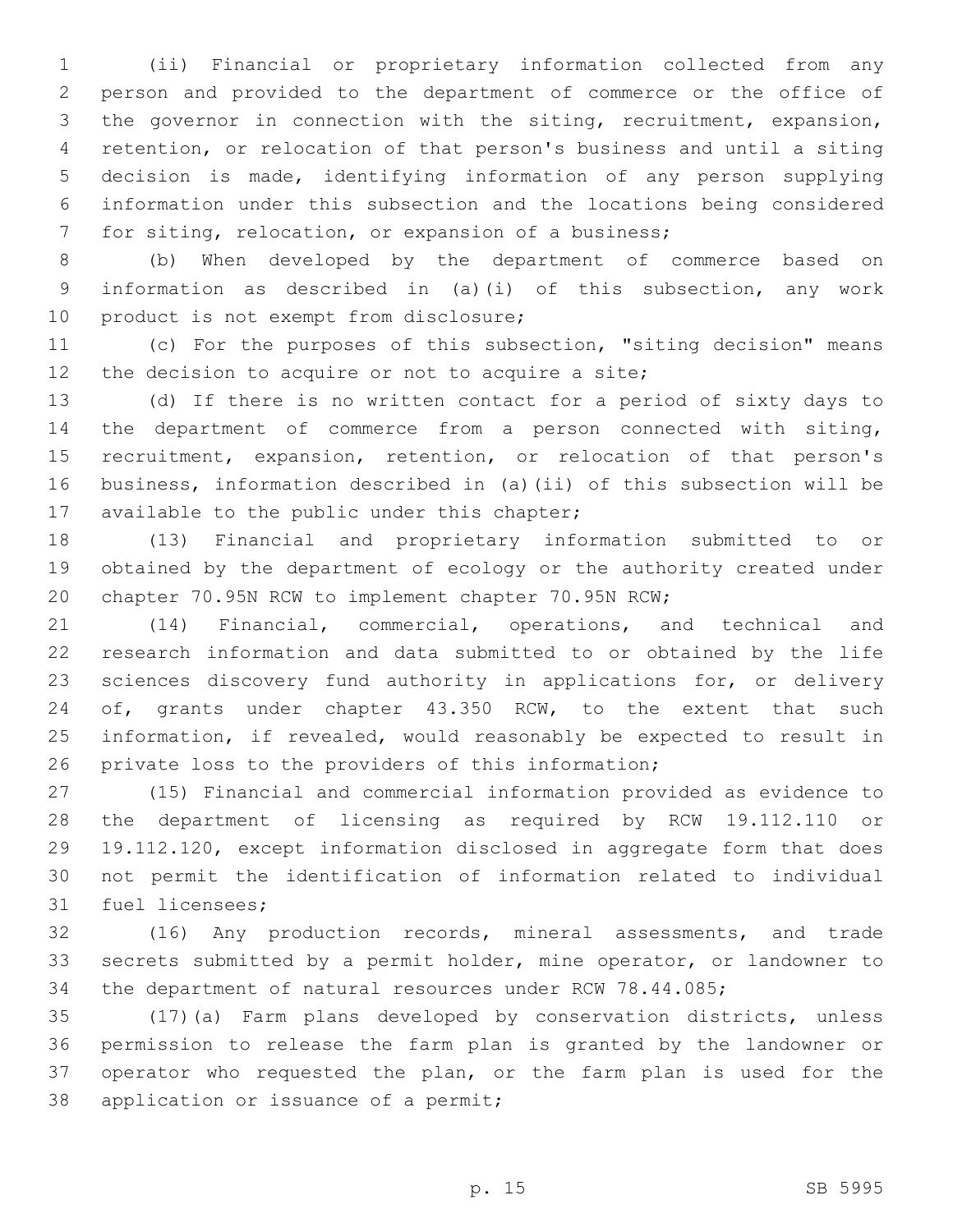(ii) Financial or proprietary information collected from any person and provided to the department of commerce or the office of the governor in connection with the siting, recruitment, expansion, retention, or relocation of that person's business and until a siting decision is made, identifying information of any person supplying information under this subsection and the locations being considered for siting, relocation, or expansion of a business;

 (b) When developed by the department of commerce based on information as described in (a)(i) of this subsection, any work 10 product is not exempt from disclosure;

 (c) For the purposes of this subsection, "siting decision" means 12 the decision to acquire or not to acquire a site;

 (d) If there is no written contact for a period of sixty days to the department of commerce from a person connected with siting, recruitment, expansion, retention, or relocation of that person's business, information described in (a)(ii) of this subsection will be 17 available to the public under this chapter;

 (13) Financial and proprietary information submitted to or obtained by the department of ecology or the authority created under chapter 70.95N RCW to implement chapter 70.95N RCW;

 (14) Financial, commercial, operations, and technical and research information and data submitted to or obtained by the life sciences discovery fund authority in applications for, or delivery 24 of, grants under chapter 43.350 RCW, to the extent that such information, if revealed, would reasonably be expected to result in private loss to the providers of this information;

 (15) Financial and commercial information provided as evidence to the department of licensing as required by RCW 19.112.110 or 19.112.120, except information disclosed in aggregate form that does not permit the identification of information related to individual 31 fuel licensees;

 (16) Any production records, mineral assessments, and trade secrets submitted by a permit holder, mine operator, or landowner to the department of natural resources under RCW 78.44.085;

 (17)(a) Farm plans developed by conservation districts, unless permission to release the farm plan is granted by the landowner or operator who requested the plan, or the farm plan is used for the 38 application or issuance of a permit;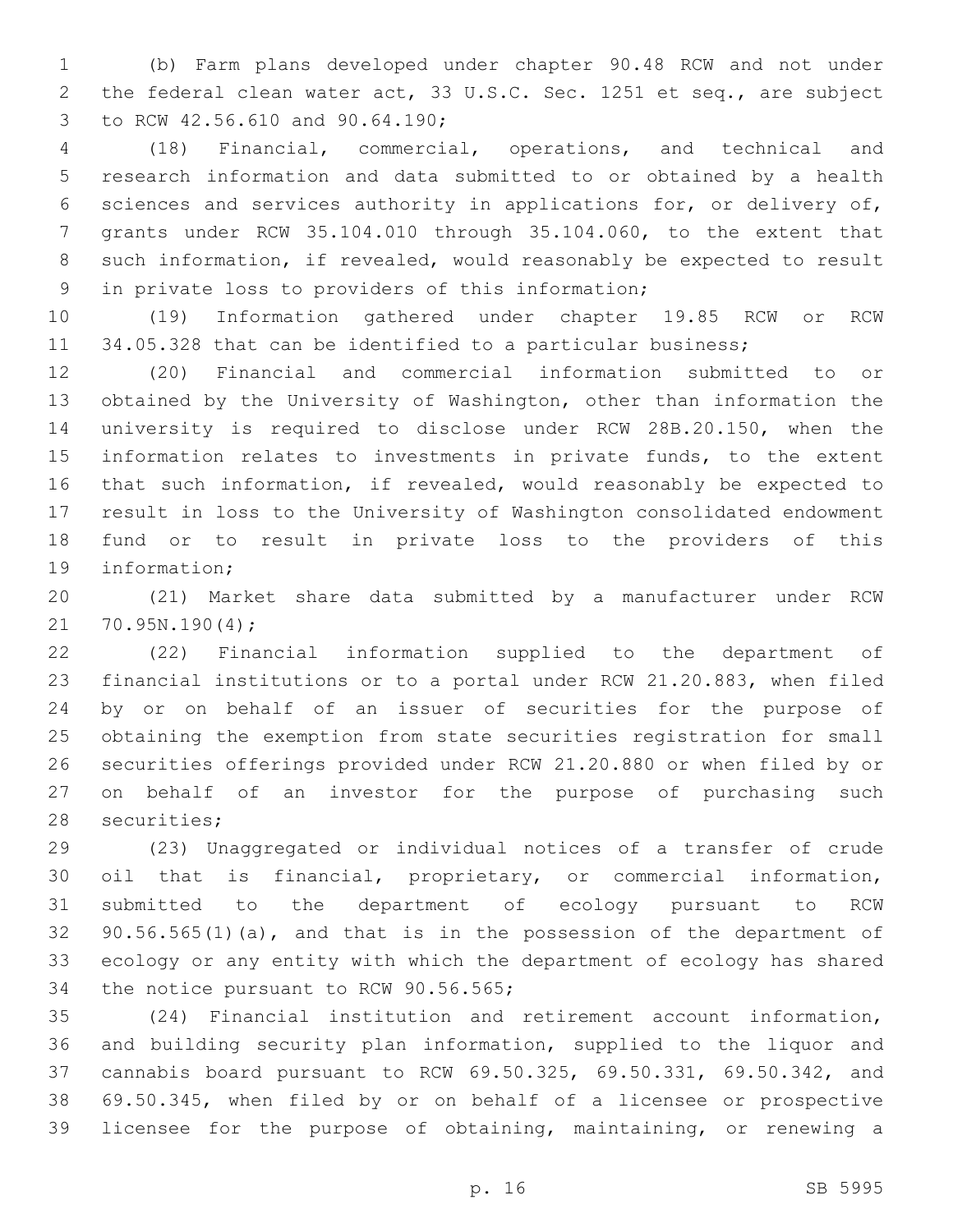(b) Farm plans developed under chapter 90.48 RCW and not under the federal clean water act, 33 U.S.C. Sec. 1251 et seq., are subject to RCW 42.56.610 and 90.64.190;3

 (18) Financial, commercial, operations, and technical and research information and data submitted to or obtained by a health sciences and services authority in applications for, or delivery of, grants under RCW 35.104.010 through 35.104.060, to the extent that such information, if revealed, would reasonably be expected to result 9 in private loss to providers of this information;

 (19) Information gathered under chapter 19.85 RCW or RCW 11 34.05.328 that can be identified to a particular business;

 (20) Financial and commercial information submitted to or obtained by the University of Washington, other than information the university is required to disclose under RCW 28B.20.150, when the information relates to investments in private funds, to the extent that such information, if revealed, would reasonably be expected to result in loss to the University of Washington consolidated endowment fund or to result in private loss to the providers of this 19 information:

 (21) Market share data submitted by a manufacturer under RCW 21 70.95N.190(4);

 (22) Financial information supplied to the department of financial institutions or to a portal under RCW 21.20.883, when filed by or on behalf of an issuer of securities for the purpose of obtaining the exemption from state securities registration for small securities offerings provided under RCW 21.20.880 or when filed by or on behalf of an investor for the purpose of purchasing such 28 securities;

 (23) Unaggregated or individual notices of a transfer of crude oil that is financial, proprietary, or commercial information, submitted to the department of ecology pursuant to RCW 90.56.565(1)(a), and that is in the possession of the department of ecology or any entity with which the department of ecology has shared 34 the notice pursuant to RCW 90.56.565;

 (24) Financial institution and retirement account information, and building security plan information, supplied to the liquor and cannabis board pursuant to RCW 69.50.325, 69.50.331, 69.50.342, and 69.50.345, when filed by or on behalf of a licensee or prospective licensee for the purpose of obtaining, maintaining, or renewing a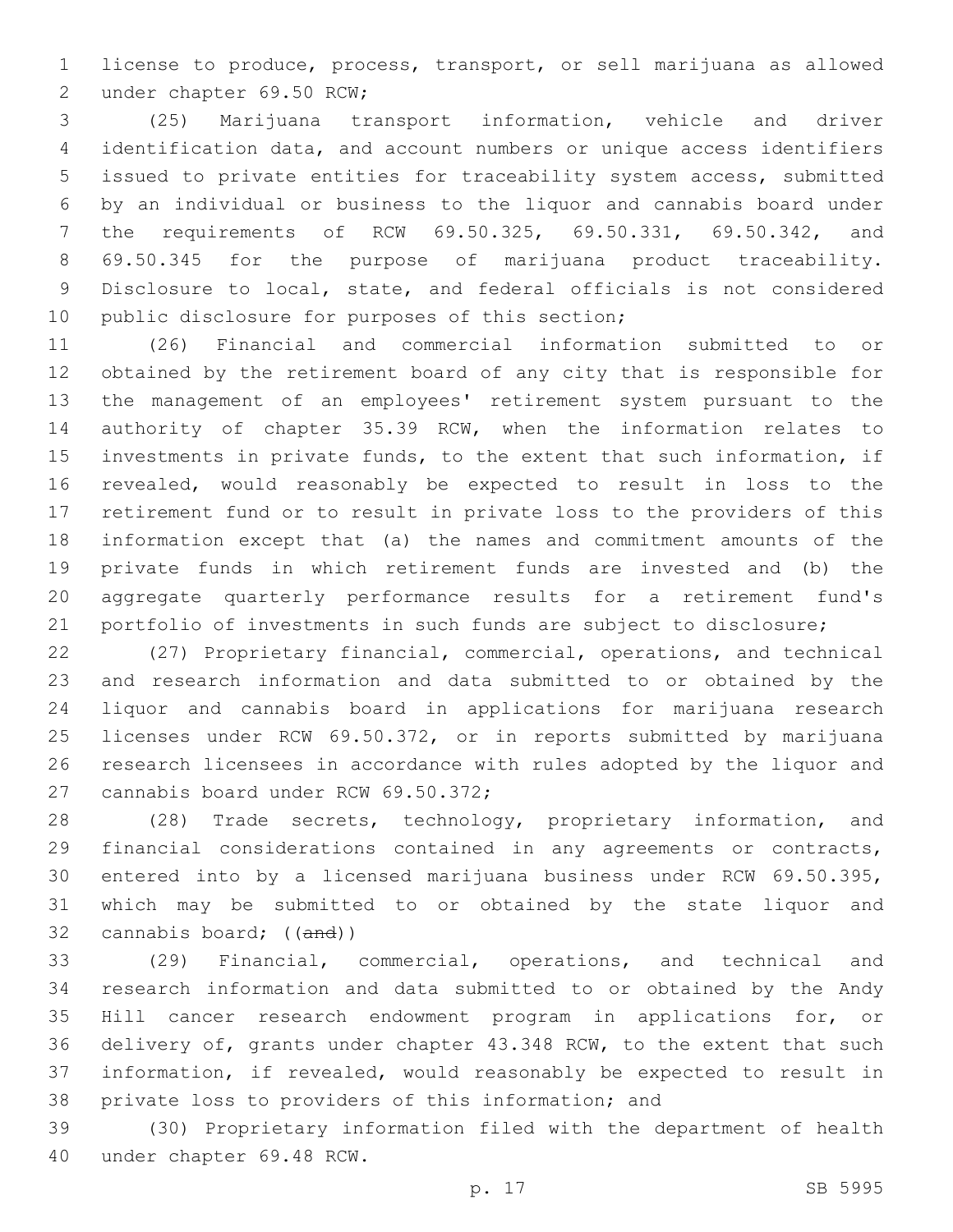license to produce, process, transport, or sell marijuana as allowed 2 under chapter 69.50 RCW;

 (25) Marijuana transport information, vehicle and driver identification data, and account numbers or unique access identifiers issued to private entities for traceability system access, submitted by an individual or business to the liquor and cannabis board under the requirements of RCW 69.50.325, 69.50.331, 69.50.342, and 69.50.345 for the purpose of marijuana product traceability. Disclosure to local, state, and federal officials is not considered 10 public disclosure for purposes of this section;

 (26) Financial and commercial information submitted to or obtained by the retirement board of any city that is responsible for the management of an employees' retirement system pursuant to the authority of chapter 35.39 RCW, when the information relates to investments in private funds, to the extent that such information, if revealed, would reasonably be expected to result in loss to the retirement fund or to result in private loss to the providers of this information except that (a) the names and commitment amounts of the private funds in which retirement funds are invested and (b) the aggregate quarterly performance results for a retirement fund's portfolio of investments in such funds are subject to disclosure;

 (27) Proprietary financial, commercial, operations, and technical and research information and data submitted to or obtained by the liquor and cannabis board in applications for marijuana research licenses under RCW 69.50.372, or in reports submitted by marijuana research licensees in accordance with rules adopted by the liquor and 27 cannabis board under RCW 69.50.372;

 (28) Trade secrets, technology, proprietary information, and financial considerations contained in any agreements or contracts, entered into by a licensed marijuana business under RCW 69.50.395, which may be submitted to or obtained by the state liquor and cannabis board; ((and))

 (29) Financial, commercial, operations, and technical and research information and data submitted to or obtained by the Andy Hill cancer research endowment program in applications for, or delivery of, grants under chapter 43.348 RCW, to the extent that such information, if revealed, would reasonably be expected to result in private loss to providers of this information; and

 (30) Proprietary information filed with the department of health 40 under chapter 69.48 RCW.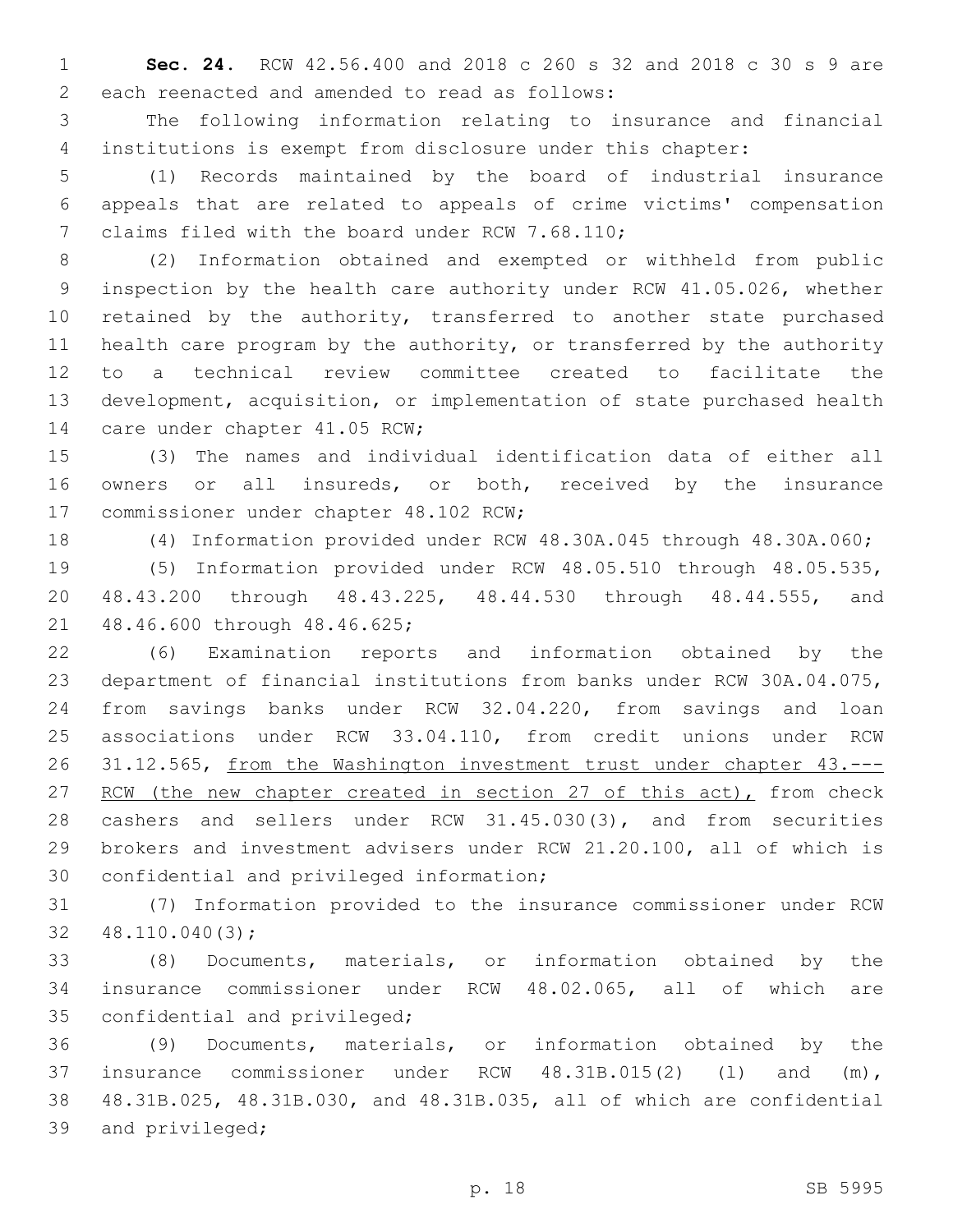**Sec. 24.** RCW 42.56.400 and 2018 c 260 s 32 and 2018 c 30 s 9 are 2 each reenacted and amended to read as follows:

 The following information relating to insurance and financial institutions is exempt from disclosure under this chapter:

 (1) Records maintained by the board of industrial insurance appeals that are related to appeals of crime victims' compensation 7 claims filed with the board under RCW 7.68.110;

 (2) Information obtained and exempted or withheld from public inspection by the health care authority under RCW 41.05.026, whether 10 retained by the authority, transferred to another state purchased health care program by the authority, or transferred by the authority to a technical review committee created to facilitate the development, acquisition, or implementation of state purchased health 14 care under chapter 41.05 RCW;

 (3) The names and individual identification data of either all owners or all insureds, or both, received by the insurance 17 commissioner under chapter 48.102 RCW;

(4) Information provided under RCW 48.30A.045 through 48.30A.060;

 (5) Information provided under RCW 48.05.510 through 48.05.535, 48.43.200 through 48.43.225, 48.44.530 through 48.44.555, and 21 48.46.600 through 48.46.625;

 (6) Examination reports and information obtained by the department of financial institutions from banks under RCW 30A.04.075, from savings banks under RCW 32.04.220, from savings and loan associations under RCW 33.04.110, from credit unions under RCW 26 31.12.565, from the Washington investment trust under chapter 43.---27 RCW (the new chapter created in section 27 of this act), from check cashers and sellers under RCW 31.45.030(3), and from securities brokers and investment advisers under RCW 21.20.100, all of which is 30 confidential and privileged information;

 (7) Information provided to the insurance commissioner under RCW  $32 \quad 48.110.040(3);$ 

 (8) Documents, materials, or information obtained by the insurance commissioner under RCW 48.02.065, all of which are 35 confidential and privileged;

 (9) Documents, materials, or information obtained by the insurance commissioner under RCW 48.31B.015(2) (l) and (m), 48.31B.025, 48.31B.030, and 48.31B.035, all of which are confidential 39 and privileged;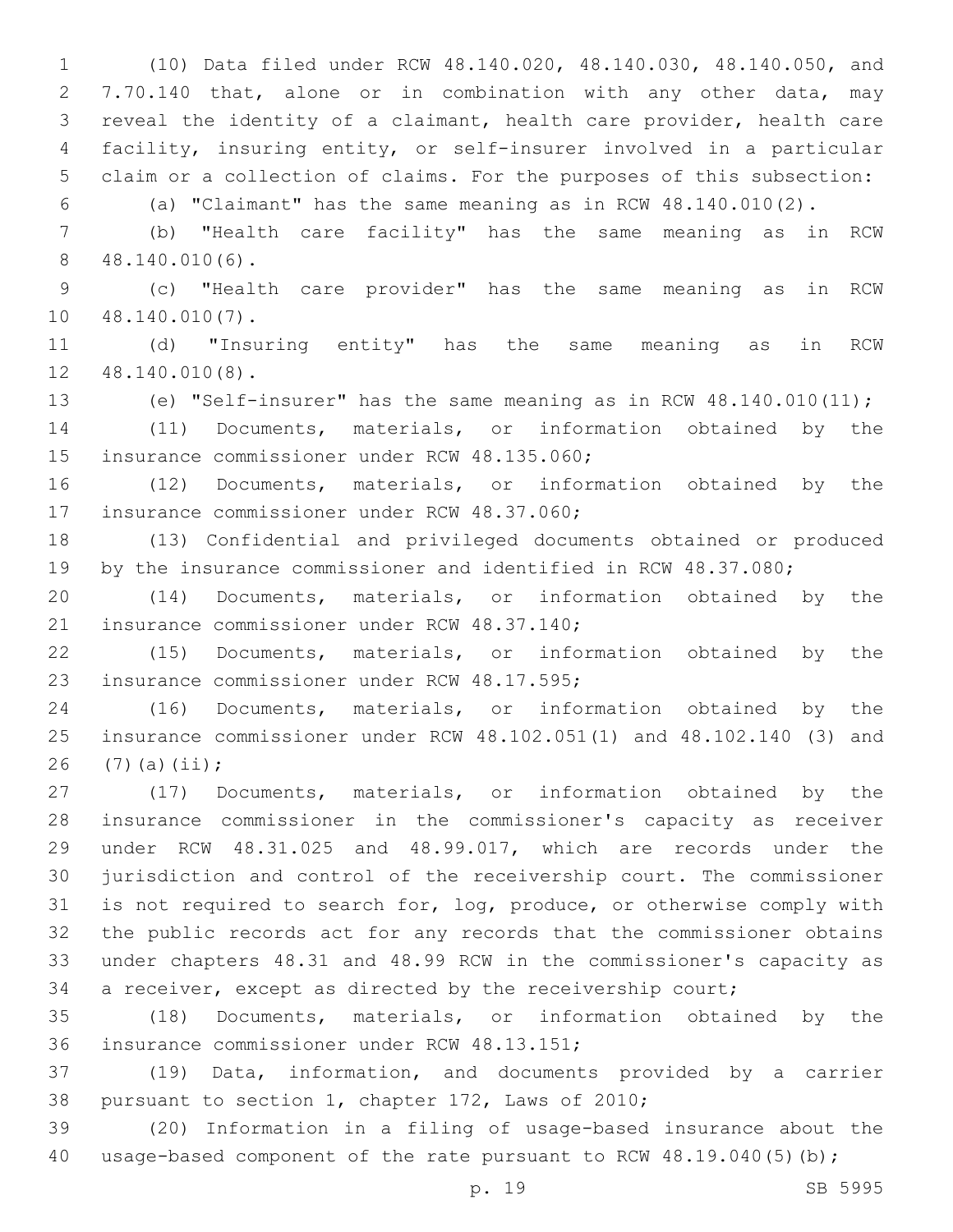(10) Data filed under RCW 48.140.020, 48.140.030, 48.140.050, and 7.70.140 that, alone or in combination with any other data, may reveal the identity of a claimant, health care provider, health care facility, insuring entity, or self-insurer involved in a particular claim or a collection of claims. For the purposes of this subsection:

(a) "Claimant" has the same meaning as in RCW 48.140.010(2).

 (b) "Health care facility" has the same meaning as in RCW 48.140.010(6).8

 (c) "Health care provider" has the same meaning as in RCW 10 48.140.010(7).

 (d) "Insuring entity" has the same meaning as in RCW 12 48.140.010(8).

(e) "Self-insurer" has the same meaning as in RCW 48.140.010(11);

 (11) Documents, materials, or information obtained by the 15 insurance commissioner under RCW 48.135.060;

 (12) Documents, materials, or information obtained by the 17 insurance commissioner under RCW 48.37.060;

 (13) Confidential and privileged documents obtained or produced by the insurance commissioner and identified in RCW 48.37.080;

 (14) Documents, materials, or information obtained by the 21 insurance commissioner under RCW 48.37.140;

 (15) Documents, materials, or information obtained by the 23 insurance commissioner under RCW 48.17.595;

 (16) Documents, materials, or information obtained by the insurance commissioner under RCW 48.102.051(1) and 48.102.140 (3) and 26  $(7)(a)(ii);$ 

 (17) Documents, materials, or information obtained by the insurance commissioner in the commissioner's capacity as receiver under RCW 48.31.025 and 48.99.017, which are records under the jurisdiction and control of the receivership court. The commissioner is not required to search for, log, produce, or otherwise comply with the public records act for any records that the commissioner obtains under chapters 48.31 and 48.99 RCW in the commissioner's capacity as a receiver, except as directed by the receivership court;

 (18) Documents, materials, or information obtained by the 36 insurance commissioner under RCW 48.13.151;

 (19) Data, information, and documents provided by a carrier 38 pursuant to section 1, chapter 172, Laws of 2010;

 (20) Information in a filing of usage-based insurance about the 40 usage-based component of the rate pursuant to RCW 48.19.040(5)(b);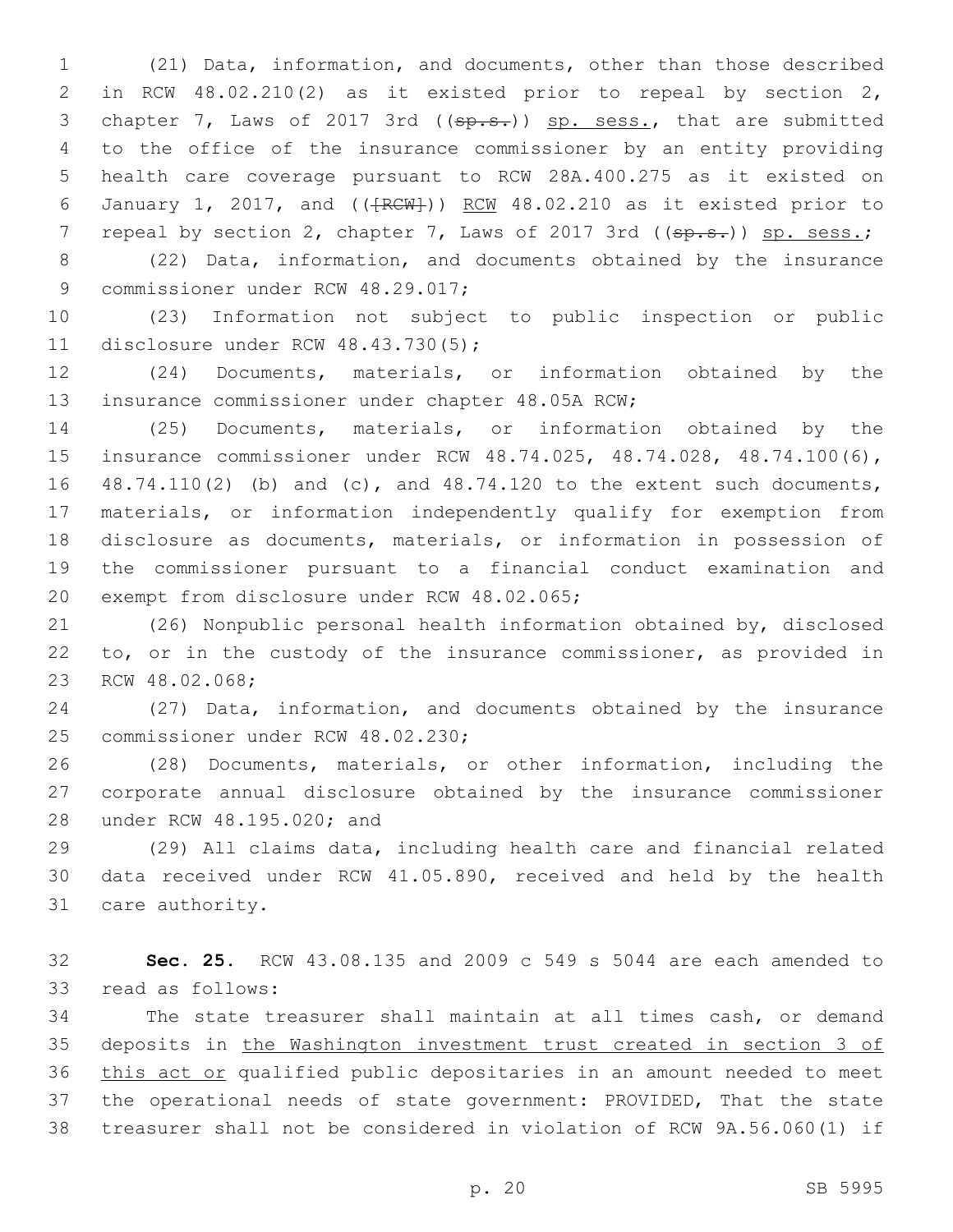(21) Data, information, and documents, other than those described in RCW 48.02.210(2) as it existed prior to repeal by section 2, 3 chapter 7, Laws of 2017 3rd ((sp.s.)) sp. sess., that are submitted to the office of the insurance commissioner by an entity providing health care coverage pursuant to RCW 28A.400.275 as it existed on 6 January 1, 2017, and  $((\text{FCW})^2)$  RCW 48.02.210 as it existed prior to 7 repeal by section 2, chapter 7, Laws of 2017 3rd ((sp.s.)) sp. sess.;

 (22) Data, information, and documents obtained by the insurance 9 commissioner under RCW 48.29.017;

 (23) Information not subject to public inspection or public 11 disclosure under RCW 48.43.730(5);

 (24) Documents, materials, or information obtained by the 13 insurance commissioner under chapter 48.05A RCW;

 (25) Documents, materials, or information obtained by the insurance commissioner under RCW 48.74.025, 48.74.028, 48.74.100(6), 48.74.110(2) (b) and (c), and 48.74.120 to the extent such documents, materials, or information independently qualify for exemption from disclosure as documents, materials, or information in possession of the commissioner pursuant to a financial conduct examination and 20 exempt from disclosure under RCW 48.02.065;

 (26) Nonpublic personal health information obtained by, disclosed to, or in the custody of the insurance commissioner, as provided in 23 RCW 48.02.068;

 (27) Data, information, and documents obtained by the insurance 25 commissioner under RCW 48.02.230;

 (28) Documents, materials, or other information, including the corporate annual disclosure obtained by the insurance commissioner 28 under RCW 48.195.020; and

 (29) All claims data, including health care and financial related data received under RCW 41.05.890, received and held by the health 31 care authority.

 **Sec. 25.** RCW 43.08.135 and 2009 c 549 s 5044 are each amended to 33 read as follows:

 The state treasurer shall maintain at all times cash, or demand deposits in the Washington investment trust created in section 3 of this act or qualified public depositaries in an amount needed to meet the operational needs of state government: PROVIDED, That the state treasurer shall not be considered in violation of RCW 9A.56.060(1) if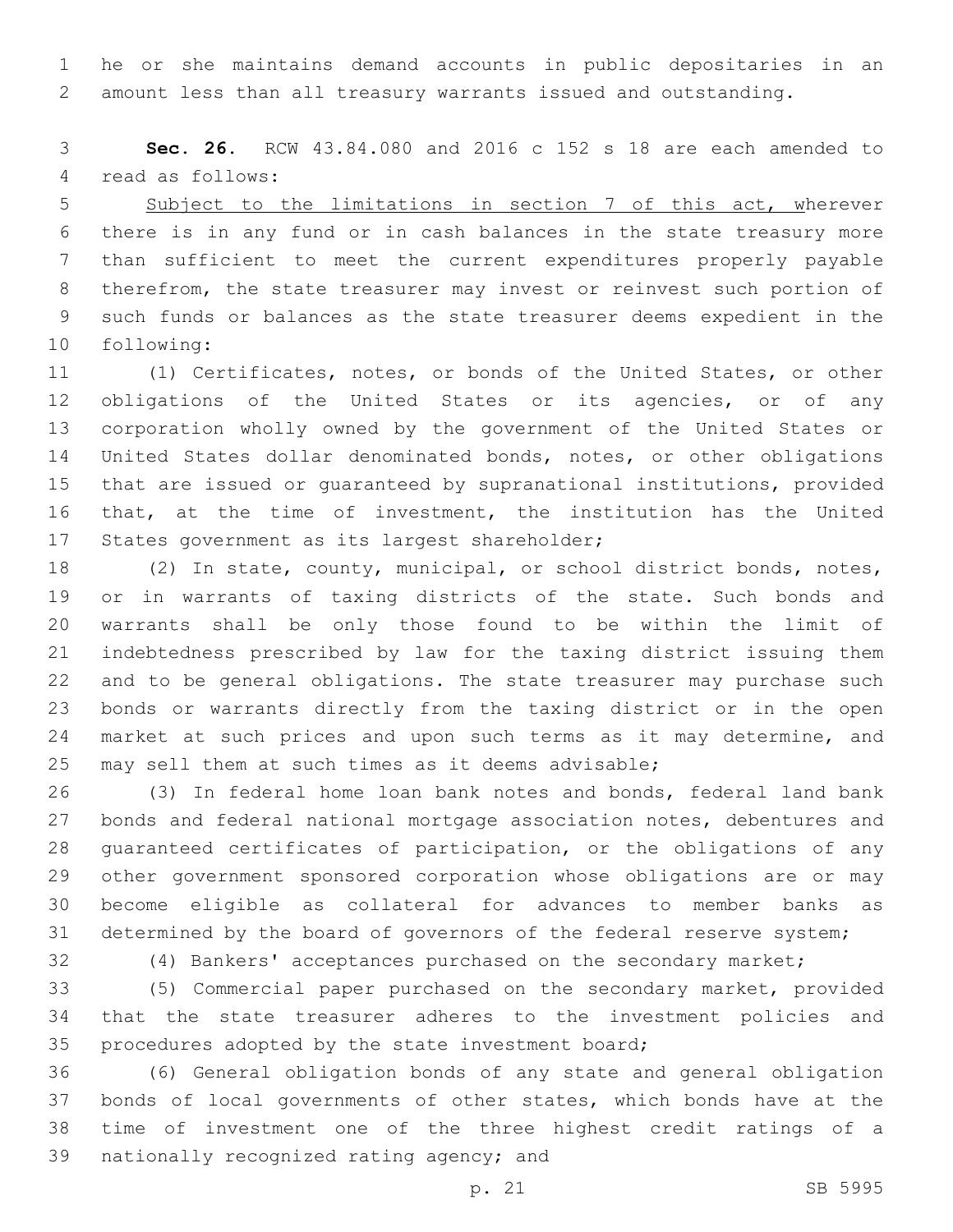he or she maintains demand accounts in public depositaries in an amount less than all treasury warrants issued and outstanding.

 **Sec. 26.** RCW 43.84.080 and 2016 c 152 s 18 are each amended to 4 read as follows:

5 Subject to the limitations in section 7 of this act, wherever there is in any fund or in cash balances in the state treasury more than sufficient to meet the current expenditures properly payable therefrom, the state treasurer may invest or reinvest such portion of such funds or balances as the state treasurer deems expedient in the 10 following:

 (1) Certificates, notes, or bonds of the United States, or other obligations of the United States or its agencies, or of any corporation wholly owned by the government of the United States or United States dollar denominated bonds, notes, or other obligations that are issued or guaranteed by supranational institutions, provided that, at the time of investment, the institution has the United 17 States government as its largest shareholder;

 (2) In state, county, municipal, or school district bonds, notes, or in warrants of taxing districts of the state. Such bonds and warrants shall be only those found to be within the limit of indebtedness prescribed by law for the taxing district issuing them and to be general obligations. The state treasurer may purchase such bonds or warrants directly from the taxing district or in the open 24 market at such prices and upon such terms as it may determine, and may sell them at such times as it deems advisable;

 (3) In federal home loan bank notes and bonds, federal land bank bonds and federal national mortgage association notes, debentures and guaranteed certificates of participation, or the obligations of any other government sponsored corporation whose obligations are or may become eligible as collateral for advances to member banks as determined by the board of governors of the federal reserve system;

(4) Bankers' acceptances purchased on the secondary market;

 (5) Commercial paper purchased on the secondary market, provided that the state treasurer adheres to the investment policies and 35 procedures adopted by the state investment board;

 (6) General obligation bonds of any state and general obligation bonds of local governments of other states, which bonds have at the time of investment one of the three highest credit ratings of a 39 nationally recognized rating agency; and